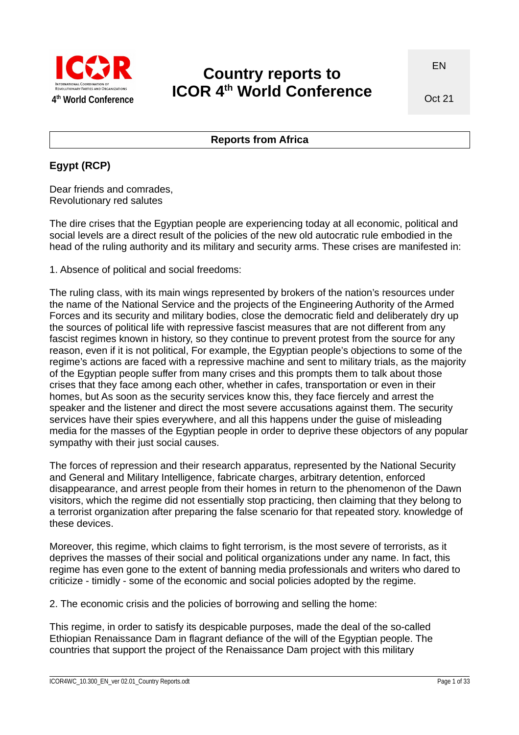

# **Country reports to ICOR 4th World Conference**

Oct 21

#### **Reports from Africa**

#### **Egypt (RCP)**

Dear friends and comrades, Revolutionary red salutes

The dire crises that the Egyptian people are experiencing today at all economic, political and social levels are a direct result of the policies of the new old autocratic rule embodied in the head of the ruling authority and its military and security arms. These crises are manifested in:

1. Absence of political and social freedoms:

The ruling class, with its main wings represented by brokers of the nation's resources under the name of the National Service and the projects of the Engineering Authority of the Armed Forces and its security and military bodies, close the democratic field and deliberately dry up the sources of political life with repressive fascist measures that are not different from any fascist regimes known in history, so they continue to prevent protest from the source for any reason, even if it is not political, For example, the Egyptian people's objections to some of the regime's actions are faced with a repressive machine and sent to military trials, as the majority of the Egyptian people suffer from many crises and this prompts them to talk about those crises that they face among each other, whether in cafes, transportation or even in their homes, but As soon as the security services know this, they face fiercely and arrest the speaker and the listener and direct the most severe accusations against them. The security services have their spies everywhere, and all this happens under the guise of misleading media for the masses of the Egyptian people in order to deprive these objectors of any popular sympathy with their just social causes.

The forces of repression and their research apparatus, represented by the National Security and General and Military Intelligence, fabricate charges, arbitrary detention, enforced disappearance, and arrest people from their homes in return to the phenomenon of the Dawn visitors, which the regime did not essentially stop practicing, then claiming that they belong to a terrorist organization after preparing the false scenario for that repeated story. knowledge of these devices.

Moreover, this regime, which claims to fight terrorism, is the most severe of terrorists, as it deprives the masses of their social and political organizations under any name. In fact, this regime has even gone to the extent of banning media professionals and writers who dared to criticize - timidly - some of the economic and social policies adopted by the regime.

2. The economic crisis and the policies of borrowing and selling the home:

This regime, in order to satisfy its despicable purposes, made the deal of the so-called Ethiopian Renaissance Dam in flagrant defiance of the will of the Egyptian people. The countries that support the project of the Renaissance Dam project with this military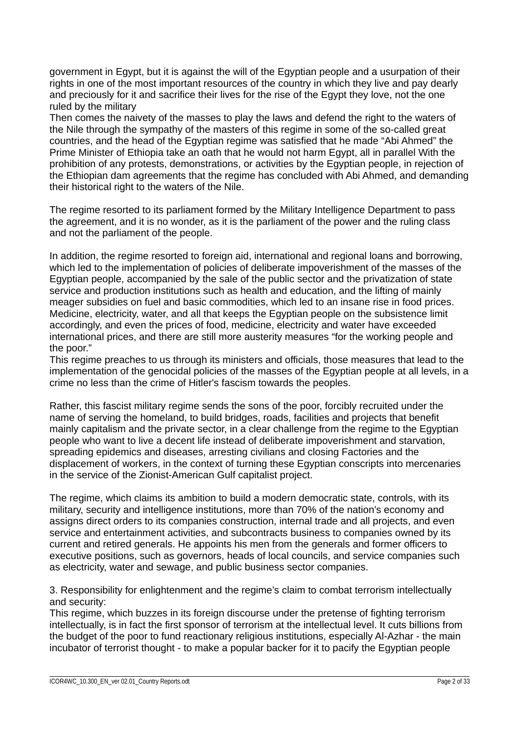government in Egypt, but it is against the will of the Egyptian people and a usurpation of their rights in one of the most important resources of the country in which they live and pay dearly and preciously for it and sacrifice their lives for the rise of the Egypt they love, not the one ruled by the military

Then comes the naivety of the masses to play the laws and defend the right to the waters of the Nile through the sympathy of the masters of this regime in some of the so-called great countries, and the head of the Egyptian regime was satisfied that he made "Abi Ahmed" the Prime Minister of Ethiopia take an oath that he would not harm Egypt, all in parallel With the prohibition of any protests, demonstrations, or activities by the Egyptian people, in rejection of the Ethiopian dam agreements that the regime has concluded with Abi Ahmed, and demanding their historical right to the waters of the Nile.

The regime resorted to its parliament formed by the Military Intelligence Department to pass the agreement, and it is no wonder, as it is the parliament of the power and the ruling class and not the parliament of the people.

In addition, the regime resorted to foreign aid, international and regional loans and borrowing, which led to the implementation of policies of deliberate impoverishment of the masses of the Egyptian people, accompanied by the sale of the public sector and the privatization of state service and production institutions such as health and education, and the lifting of mainly meager subsidies on fuel and basic commodities, which led to an insane rise in food prices. Medicine, electricity, water, and all that keeps the Egyptian people on the subsistence limit accordingly, and even the prices of food, medicine, electricity and water have exceeded international prices, and there are still more austerity measures "for the working people and the poor."

This regime preaches to us through its ministers and officials, those measures that lead to the implementation of the genocidal policies of the masses of the Egyptian people at all levels, in a crime no less than the crime of Hitler's fascism towards the peoples.

Rather, this fascist military regime sends the sons of the poor, forcibly recruited under the name of serving the homeland, to build bridges, roads, facilities and projects that benefit mainly capitalism and the private sector, in a clear challenge from the regime to the Egyptian people who want to live a decent life instead of deliberate impoverishment and starvation, spreading epidemics and diseases, arresting civilians and closing Factories and the displacement of workers, in the context of turning these Egyptian conscripts into mercenaries in the service of the Zionist-American Gulf capitalist project.

The regime, which claims its ambition to build a modern democratic state, controls, with its military, security and intelligence institutions, more than 70% of the nation's economy and assigns direct orders to its companies construction, internal trade and all projects, and even service and entertainment activities, and subcontracts business to companies owned by its current and retired generals. He appoints his men from the generals and former officers to executive positions, such as governors, heads of local councils, and service companies such as electricity, water and sewage, and public business sector companies.

3. Responsibility for enlightenment and the regime's claim to combat terrorism intellectually and security:

This regime, which buzzes in its foreign discourse under the pretense of fighting terrorism intellectually, is in fact the first sponsor of terrorism at the intellectual level. It cuts billions from the budget of the poor to fund reactionary religious institutions, especially Al-Azhar - the main incubator of terrorist thought - to make a popular backer for it to pacify the Egyptian people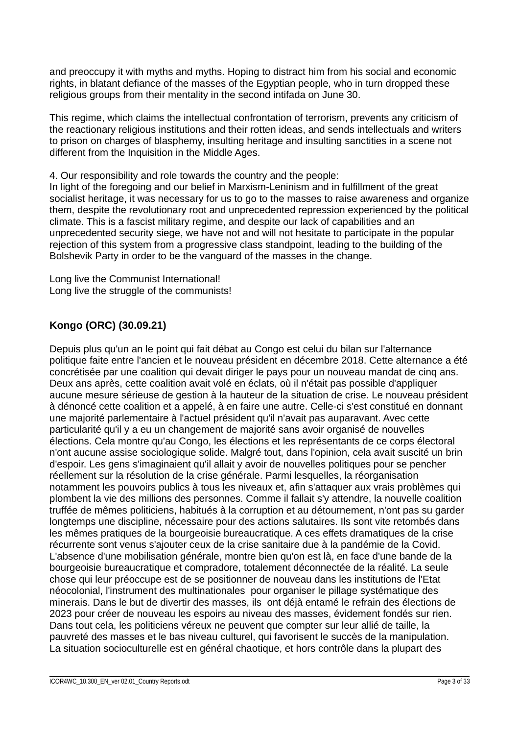and preoccupy it with myths and myths. Hoping to distract him from his social and economic rights, in blatant defiance of the masses of the Egyptian people, who in turn dropped these religious groups from their mentality in the second intifada on June 30.

This regime, which claims the intellectual confrontation of terrorism, prevents any criticism of the reactionary religious institutions and their rotten ideas, and sends intellectuals and writers to prison on charges of blasphemy, insulting heritage and insulting sanctities in a scene not different from the Inquisition in the Middle Ages.

4. Our responsibility and role towards the country and the people:

In light of the foregoing and our belief in Marxism-Leninism and in fulfillment of the great socialist heritage, it was necessary for us to go to the masses to raise awareness and organize them, despite the revolutionary root and unprecedented repression experienced by the political climate. This is a fascist military regime, and despite our lack of capabilities and an unprecedented security siege, we have not and will not hesitate to participate in the popular rejection of this system from a progressive class standpoint, leading to the building of the Bolshevik Party in order to be the vanguard of the masses in the change.

Long live the Communist International! Long live the struggle of the communists!

# **Kongo (ORC) (30.09.21)**

Depuis plus qu'un an le point qui fait débat au Congo est celui du bilan sur l'alternance politique faite entre l'ancien et le nouveau président en décembre 2018. Cette alternance a été concrétisée par une coalition qui devait diriger le pays pour un nouveau mandat de cinq ans. Deux ans après, cette coalition avait volé en éclats, où il n'était pas possible d'appliquer aucune mesure sérieuse de gestion à la hauteur de la situation de crise. Le nouveau président à dénoncé cette coalition et a appelé, à en faire une autre. Celle-ci s'est constitué en donnant une majorité parlementaire à l'actuel président qu'il n'avait pas auparavant. Avec cette particularité qu'il y a eu un changement de majorité sans avoir organisé de nouvelles élections. Cela montre qu'au Congo, les élections et les représentants de ce corps électoral n'ont aucune assise sociologique solide. Malgré tout, dans l'opinion, cela avait suscité un brin d'espoir. Les gens s'imaginaient qu'il allait y avoir de nouvelles politiques pour se pencher réellement sur la résolution de la crise générale. Parmi lesquelles, la réorganisation notamment les pouvoirs publics à tous les niveaux et, afin s'attaquer aux vrais problèmes qui plombent la vie des millions des personnes. Comme il fallait s'y attendre, la nouvelle coalition truffée de mêmes politiciens, habitués à la corruption et au détournement, n'ont pas su garder longtemps une discipline, nécessaire pour des actions salutaires. Ils sont vite retombés dans les mêmes pratiques de la bourgeoisie bureaucratique. A ces effets dramatiques de la crise récurrente sont venus s'ajouter ceux de la crise sanitaire due à la pandémie de la Covid. L'absence d'une mobilisation générale, montre bien qu'on est là, en face d'une bande de la bourgeoisie bureaucratique et compradore, totalement déconnectée de la réalité. La seule chose qui leur préoccupe est de se positionner de nouveau dans les institutions de l'Etat néocolonial, l'instrument des multinationales pour organiser le pillage systématique des minerais. Dans le but de divertir des masses, ils ont déjà entamé le refrain des élections de 2023 pour créer de nouveau les espoirs au niveau des masses, évidement fondés sur rien. Dans tout cela, les politiciens véreux ne peuvent que compter sur leur allié de taille, la pauvreté des masses et le bas niveau culturel, qui favorisent le succès de la manipulation. La situation socioculturelle est en général chaotique, et hors contrôle dans la plupart des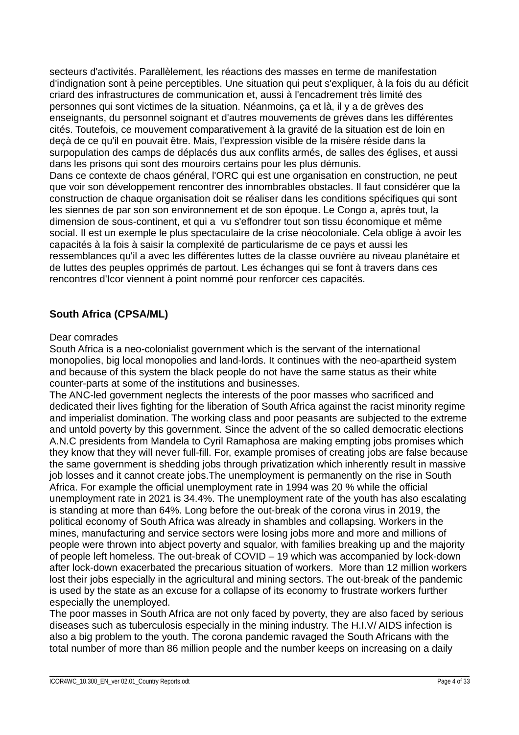secteurs d'activités. Parallèlement, les réactions des masses en terme de manifestation d'indignation sont à peine perceptibles. Une situation qui peut s'expliquer, à la fois du au déficit criard des infrastructures de communication et, aussi à l'encadrement très limité des personnes qui sont victimes de la situation. Néanmoins, ça et là, il y a de grèves des enseignants, du personnel soignant et d'autres mouvements de grèves dans les différentes cités. Toutefois, ce mouvement comparativement à la gravité de la situation est de loin en deçà de ce qu'il en pouvait être. Mais, l'expression visible de la misère réside dans la surpopulation des camps de déplacés dus aux conflits armés, de salles des églises, et aussi dans les prisons qui sont des mouroirs certains pour les plus démunis. Dans ce contexte de chaos général, l'ORC qui est une organisation en construction, ne peut que voir son développement rencontrer des innombrables obstacles. Il faut considérer que la construction de chaque organisation doit se réaliser dans les conditions spécifiques qui sont les siennes de par son son environnement et de son époque. Le Congo a, après tout, la dimension de sous-continent, et qui a vu s'effondrer tout son tissu économique et même social. Il est un exemple le plus spectaculaire de la crise néocoloniale. Cela oblige à avoir les capacités à la fois à saisir la complexité de particularisme de ce pays et aussi les ressemblances qu'il a avec les différentes luttes de la classe ouvrière au niveau planétaire et de luttes des peuples opprimés de partout. Les échanges qui se font à travers dans ces rencontres d'Icor viennent à point nommé pour renforcer ces capacités.

## **South Africa (CPSA/ML)**

#### Dear comrades

South Africa is a neo-colonialist government which is the servant of the international monopolies, big local monopolies and land-lords. It continues with the neo-apartheid system and because of this system the black people do not have the same status as their white counter-parts at some of the institutions and businesses.

The ANC-led government neglects the interests of the poor masses who sacrificed and dedicated their lives fighting for the liberation of South Africa against the racist minority regime and imperialist domination. The working class and poor peasants are subjected to the extreme and untold poverty by this government. Since the advent of the so called democratic elections A.N.C presidents from Mandela to Cyril Ramaphosa are making empting jobs promises which they know that they will never full-fill. For, example promises of creating jobs are false because the same government is shedding jobs through privatization which inherently result in massive job losses and it cannot create jobs.The unemployment is permanently on the rise in South Africa. For example the official unemployment rate in 1994 was 20 % while the official unemployment rate in 2021 is 34.4%. The unemployment rate of the youth has also escalating is standing at more than 64%. Long before the out-break of the corona virus in 2019, the political economy of South Africa was already in shambles and collapsing. Workers in the mines, manufacturing and service sectors were losing jobs more and more and millions of people were thrown into abject poverty and squalor, with families breaking up and the majority of people left homeless. The out-break of COVID – 19 which was accompanied by lock-down after lock-down exacerbated the precarious situation of workers. More than 12 million workers lost their jobs especially in the agricultural and mining sectors. The out-break of the pandemic is used by the state as an excuse for a collapse of its economy to frustrate workers further especially the unemployed.

The poor masses in South Africa are not only faced by poverty, they are also faced by serious diseases such as tuberculosis especially in the mining industry. The H.I.V/ AIDS infection is also a big problem to the youth. The corona pandemic ravaged the South Africans with the total number of more than 86 million people and the number keeps on increasing on a daily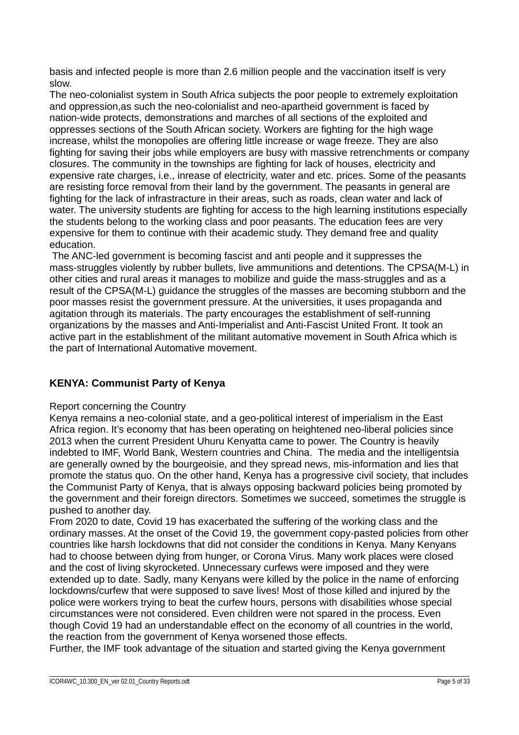basis and infected people is more than 2.6 million people and the vaccination itself is very slow.

The neo-colonialist system in South Africa subjects the poor people to extremely exploitation and oppression,as such the neo-colonialist and neo-apartheid government is faced by nation-wide protects, demonstrations and marches of all sections of the exploited and oppresses sections of the South African society. Workers are fighting for the high wage increase, whilst the monopolies are offering little increase or wage freeze. They are also fighting for saving their jobs while employers are busy with massive retrenchments or company closures. The community in the townships are fighting for lack of houses, electricity and expensive rate charges, i.e., inrease of electricity, water and etc. prices. Some of the peasants are resisting force removal from their land by the government. The peasants in general are fighting for the lack of infrastracture in their areas, such as roads, clean water and lack of water. The university students are fighting for access to the high learning institutions especially the students belong to the working class and poor peasants. The education fees are very expensive for them to continue with their academic study. They demand free and quality education.

 The ANC-led government is becoming fascist and anti people and it suppresses the mass-struggles violently by rubber bullets, live ammunitions and detentions. The CPSA(M-L) in other cities and rural areas it manages to mobilize and guide the mass-struggles and as a result of the CPSA(M-L) guidance the struggles of the masses are becoming stubborn and the poor masses resist the government pressure. At the universities, it uses propaganda and agitation through its materials. The party encourages the establishment of self-running organizations by the masses and Anti-Imperialist and Anti-Fascist United Front. It took an active part in the establishment of the militant automative movement in South Africa which is the part of International Automative movement.

## **KENYA: Communist Party of Kenya**

#### Report concerning the Country

Kenya remains a neo-colonial state, and a geo-political interest of imperialism in the East Africa region. It's economy that has been operating on heightened neo-liberal policies since 2013 when the current President Uhuru Kenyatta came to power. The Country is heavily indebted to IMF, World Bank, Western countries and China. The media and the intelligentsia are generally owned by the bourgeoisie, and they spread news, mis-information and lies that promote the status quo. On the other hand, Kenya has a progressive civil society, that includes the Communist Party of Kenya, that is always opposing backward policies being promoted by the government and their foreign directors. Sometimes we succeed, sometimes the struggle is pushed to another day.

From 2020 to date, Covid 19 has exacerbated the suffering of the working class and the ordinary masses. At the onset of the Covid 19, the government copy-pasted policies from other countries like harsh lockdowns that did not consider the conditions in Kenya. Many Kenyans had to choose between dying from hunger, or Corona Virus. Many work places were closed and the cost of living skyrocketed. Unnecessary curfews were imposed and they were extended up to date. Sadly, many Kenyans were killed by the police in the name of enforcing lockdowns/curfew that were supposed to save lives! Most of those killed and injured by the police were workers trying to beat the curfew hours, persons with disabilities whose special circumstances were not considered. Even children were not spared in the process. Even though Covid 19 had an understandable effect on the economy of all countries in the world, the reaction from the government of Kenya worsened those effects.

Further, the IMF took advantage of the situation and started giving the Kenya government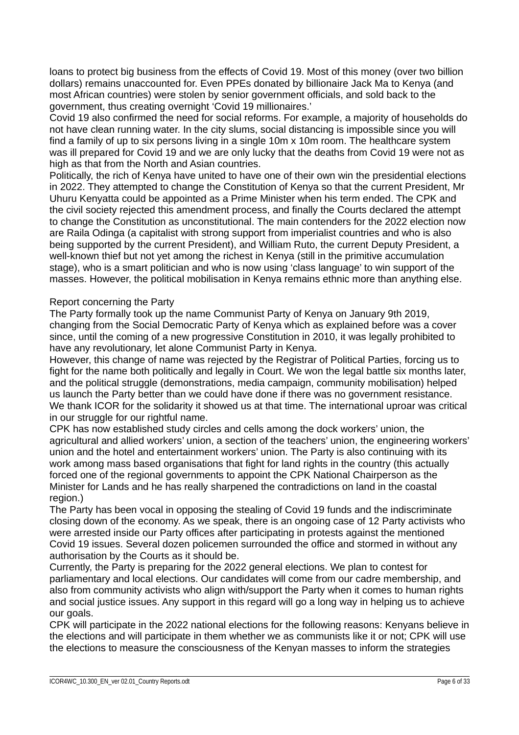loans to protect big business from the effects of Covid 19. Most of this money (over two billion dollars) remains unaccounted for. Even PPEs donated by billionaire Jack Ma to Kenya (and most African countries) were stolen by senior government officials, and sold back to the government, thus creating overnight 'Covid 19 millionaires.'

Covid 19 also confirmed the need for social reforms. For example, a majority of households do not have clean running water. In the city slums, social distancing is impossible since you will find a family of up to six persons living in a single 10m x 10m room. The healthcare system was ill prepared for Covid 19 and we are only lucky that the deaths from Covid 19 were not as high as that from the North and Asian countries.

Politically, the rich of Kenya have united to have one of their own win the presidential elections in 2022. They attempted to change the Constitution of Kenya so that the current President, Mr Uhuru Kenyatta could be appointed as a Prime Minister when his term ended. The CPK and the civil society rejected this amendment process, and finally the Courts declared the attempt to change the Constitution as unconstitutional. The main contenders for the 2022 election now are Raila Odinga (a capitalist with strong support from imperialist countries and who is also being supported by the current President), and William Ruto, the current Deputy President, a well-known thief but not yet among the richest in Kenya (still in the primitive accumulation stage), who is a smart politician and who is now using 'class language' to win support of the masses. However, the political mobilisation in Kenya remains ethnic more than anything else.

#### Report concerning the Party

The Party formally took up the name Communist Party of Kenya on January 9th 2019, changing from the Social Democratic Party of Kenya which as explained before was a cover since, until the coming of a new progressive Constitution in 2010, it was legally prohibited to have any revolutionary, let alone Communist Party in Kenya.

However, this change of name was rejected by the Registrar of Political Parties, forcing us to fight for the name both politically and legally in Court. We won the legal battle six months later, and the political struggle (demonstrations, media campaign, community mobilisation) helped us launch the Party better than we could have done if there was no government resistance. We thank ICOR for the solidarity it showed us at that time. The international uproar was critical in our struggle for our rightful name.

CPK has now established study circles and cells among the dock workers' union, the agricultural and allied workers' union, a section of the teachers' union, the engineering workers' union and the hotel and entertainment workers' union. The Party is also continuing with its work among mass based organisations that fight for land rights in the country (this actually forced one of the regional governments to appoint the CPK National Chairperson as the Minister for Lands and he has really sharpened the contradictions on land in the coastal region.)

The Party has been vocal in opposing the stealing of Covid 19 funds and the indiscriminate closing down of the economy. As we speak, there is an ongoing case of 12 Party activists who were arrested inside our Party offices after participating in protests against the mentioned Covid 19 issues. Several dozen policemen surrounded the office and stormed in without any authorisation by the Courts as it should be.

Currently, the Party is preparing for the 2022 general elections. We plan to contest for parliamentary and local elections. Our candidates will come from our cadre membership, and also from community activists who align with/support the Party when it comes to human rights and social justice issues. Any support in this regard will go a long way in helping us to achieve our goals.

CPK will participate in the 2022 national elections for the following reasons: Kenyans believe in the elections and will participate in them whether we as communists like it or not; CPK will use the elections to measure the consciousness of the Kenyan masses to inform the strategies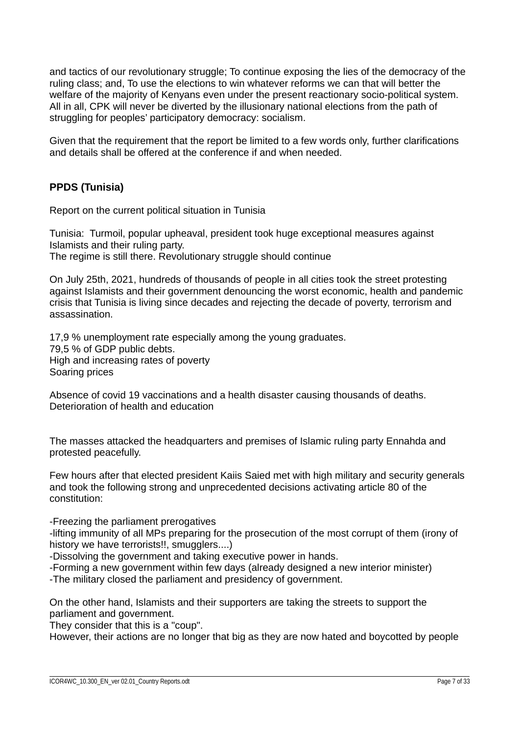and tactics of our revolutionary struggle; To continue exposing the lies of the democracy of the ruling class; and, To use the elections to win whatever reforms we can that will better the welfare of the majority of Kenyans even under the present reactionary socio-political system. All in all, CPK will never be diverted by the illusionary national elections from the path of struggling for peoples' participatory democracy: socialism.

Given that the requirement that the report be limited to a few words only, further clarifications and details shall be offered at the conference if and when needed.

## **PPDS (Tunisia)**

Report on the current political situation in Tunisia

Tunisia: Turmoil, popular upheaval, president took huge exceptional measures against Islamists and their ruling party. The regime is still there. Revolutionary struggle should continue

On July 25th, 2021, hundreds of thousands of people in all cities took the street protesting against Islamists and their government denouncing the worst economic, health and pandemic crisis that Tunisia is living since decades and rejecting the decade of poverty, terrorism and assassination.

17,9 % unemployment rate especially among the young graduates. 79,5 % of GDP public debts. High and increasing rates of poverty Soaring prices

Absence of covid 19 vaccinations and a health disaster causing thousands of deaths. Deterioration of health and education

The masses attacked the headquarters and premises of Islamic ruling party Ennahda and protested peacefully.

Few hours after that elected president Kaiis Saied met with high military and security generals and took the following strong and unprecedented decisions activating article 80 of the constitution:

-Freezing the parliament prerogatives

-lifting immunity of all MPs preparing for the prosecution of the most corrupt of them (irony of history we have terrorists!!, smugglers....)

-Dissolving the government and taking executive power in hands.

-Forming a new government within few days (already designed a new interior minister) -The military closed the parliament and presidency of government.

On the other hand, Islamists and their supporters are taking the streets to support the parliament and government.

They consider that this is a "coup".

However, their actions are no longer that big as they are now hated and boycotted by people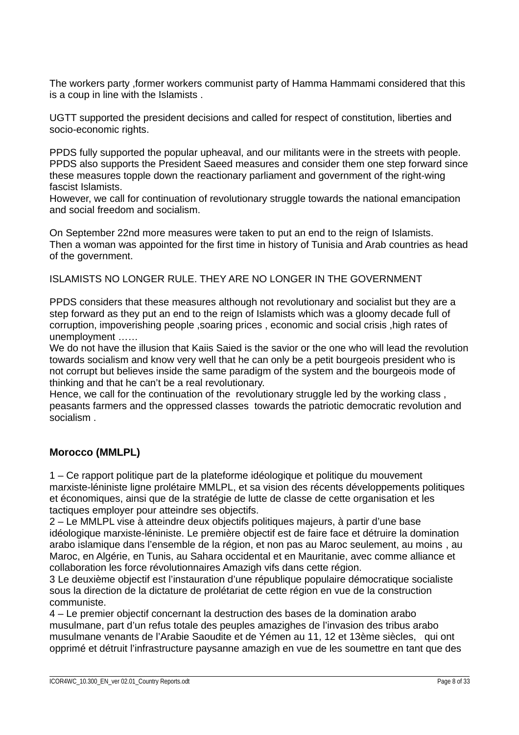The workers party ,former workers communist party of Hamma Hammami considered that this is a coup in line with the Islamists .

UGTT supported the president decisions and called for respect of constitution, liberties and socio-economic rights.

PPDS fully supported the popular upheaval, and our militants were in the streets with people. PPDS also supports the President Saeed measures and consider them one step forward since these measures topple down the reactionary parliament and government of the right-wing fascist Islamists.

However, we call for continuation of revolutionary struggle towards the national emancipation and social freedom and socialism.

On September 22nd more measures were taken to put an end to the reign of Islamists. Then a woman was appointed for the first time in history of Tunisia and Arab countries as head of the government.

ISLAMISTS NO LONGER RULE. THEY ARE NO LONGER IN THE GOVERNMENT

PPDS considers that these measures although not revolutionary and socialist but they are a step forward as they put an end to the reign of Islamists which was a gloomy decade full of corruption, impoverishing people ,soaring prices , economic and social crisis ,high rates of unemployment ……

We do not have the illusion that Kaiis Saied is the savior or the one who will lead the revolution towards socialism and know very well that he can only be a petit bourgeois president who is not corrupt but believes inside the same paradigm of the system and the bourgeois mode of thinking and that he can't be a real revolutionary.

Hence, we call for the continuation of the revolutionary struggle led by the working class , peasants farmers and the oppressed classes towards the patriotic democratic revolution and socialism .

#### **Morocco (MMLPL)**

1 – Ce rapport politique part de la plateforme idéologique et politique du mouvement marxiste-léniniste ligne prolétaire MMLPL, et sa vision des récents développements politiques et économiques, ainsi que de la stratégie de lutte de classe de cette organisation et les tactiques employer pour atteindre ses objectifs.

2 – Le MMLPL vise à atteindre deux objectifs politiques majeurs, à partir d'une base idéologique marxiste-léniniste. Le première objectif est de faire face et détruire la domination arabo islamique dans l'ensemble de la région, et non pas au Maroc seulement, au moins , au Maroc, en Algérie, en Tunis, au Sahara occidental et en Mauritanie, avec comme alliance et collaboration les force révolutionnaires Amazigh vifs dans cette région.

3 Le deuxième objectif est l'instauration d'une république populaire démocratique socialiste sous la direction de la dictature de prolétariat de cette région en vue de la construction communiste.

4 – Le premier objectif concernant la destruction des bases de la domination arabo musulmane, part d'un refus totale des peuples amazighes de l'invasion des tribus arabo musulmane venants de l'Arabie Saoudite et de Yémen au 11, 12 et 13ème siècles, qui ont opprimé et détruit l'infrastructure paysanne amazigh en vue de les soumettre en tant que des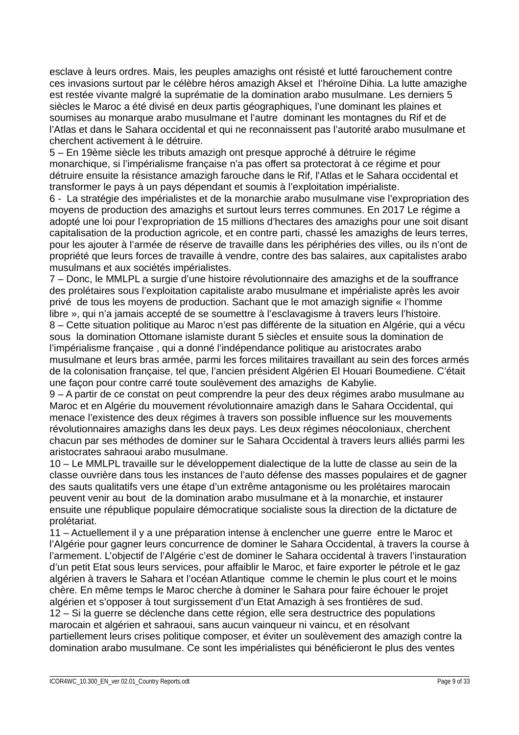esclave à leurs ordres. Mais, les peuples amazighs ont résisté et lutté farouchement contre ces invasions surtout par le célèbre héros amazigh Aksel et l'héroïne Dihia. La lutte amazighe est restée vivante malgré la suprématie de la domination arabo musulmane. Les derniers 5 siècles le Maroc a été divisé en deux partis géographiques, l'une dominant les plaines et soumises au monarque arabo musulmane et l'autre dominant les montagnes du Rif et de l'Atlas et dans le Sahara occidental et qui ne reconnaissent pas l'autorité arabo musulmane et cherchent activement à le détruire.

5 – En 19ème siècle les tributs amazigh ont presque approché à détruire le régime monarchique, si l'impérialisme française n'a pas offert sa protectorat à ce régime et pour détruire ensuite la résistance amazigh farouche dans le Rif, l'Atlas et le Sahara occidental et transformer le pays à un pays dépendant et soumis à l'exploitation impérialiste.

6 - La stratégie des impérialistes et de la monarchie arabo musulmane vise l'expropriation des moyens de production des amazighs et surtout leurs terres communes. En 2017 Le régime a adopté une loi pour l'expropriation de 15 millions d'hectares des amazighs pour une soit disant capitalisation de la production agricole, et en contre parti, chassé les amazighs de leurs terres, pour les ajouter à l'armée de réserve de travaille dans les périphéries des villes, ou ils n'ont de propriété que leurs forces de travaille à vendre, contre des bas salaires, aux capitalistes arabo musulmans et aux sociétés impérialistes.

7 – Donc, le MMLPL a surgie d'une histoire révolutionnaire des amazighs et de la souffrance des prolétaires sous l'exploitation capitaliste arabo musulmane et impérialiste après les avoir privé de tous les moyens de production. Sachant que le mot amazigh signifie « l'homme libre », qui n'a jamais accepté de se soumettre à l'esclavagisme à travers leurs l'histoire. 8 – Cette situation politique au Maroc n'est pas différente de la situation en Algérie, qui a vécu sous la domination Ottomane islamiste durant 5 siècles et ensuite sous la domination de l'impérialisme française , qui a donné l'indépendance politique au aristocrates arabo musulmane et leurs bras armée, parmi les forces militaires travaillant au sein des forces armés de la colonisation française, tel que, l'ancien président Algérien El Houari Boumediene. C'était une façon pour contre carré toute soulèvement des amazighs de Kabylie.

9 – A partir de ce constat on peut comprendre la peur des deux régimes arabo musulmane au Maroc et en Algérie du mouvement révolutionnaire amazigh dans le Sahara Occidental, qui menace l'existence des deux régimes à travers son possible influence sur les mouvements révolutionnaires amazighs dans les deux pays. Les deux régimes néocoloniaux, cherchent chacun par ses méthodes de dominer sur le Sahara Occidental à travers leurs alliés parmi les aristocrates sahraoui arabo musulmane.

10 – Le MMLPL travaille sur le développement dialectique de la lutte de classe au sein de la classe ouvrière dans tous les instances de l'auto défense des masses populaires et de gagner des sauts qualitatifs vers une étape d'un extrême antagonisme ou les prolétaires marocain peuvent venir au bout de la domination arabo musulmane et à la monarchie, et instaurer ensuite une république populaire démocratique socialiste sous la direction de la dictature de prolétariat.

11 – Actuellement il y a une préparation intense à enclencher une guerre entre le Maroc et l'Algérie pour gagner leurs concurrence de dominer le Sahara Occidental, à travers la course à l'armement. L'objectif de l'Algérie c'est de dominer le Sahara occidental à travers l'instauration d'un petit Etat sous leurs services, pour affaiblir le Maroc, et faire exporter le pétrole et le gaz algérien à travers le Sahara et l'océan Atlantique comme le chemin le plus court et le moins chère. En même temps le Maroc cherche à dominer le Sahara pour faire échouer le projet algérien et s'opposer à tout surgissement d'un Etat Amazigh à ses frontières de sud. 12 – Si la guerre se déclenche dans cette région, elle sera destructrice des populations marocain et algérien et sahraoui, sans aucun vainqueur ni vaincu, et en résolvant partiellement leurs crises politique composer, et éviter un soulèvement des amazigh contre la domination arabo musulmane. Ce sont les impérialistes qui bénéficieront le plus des ventes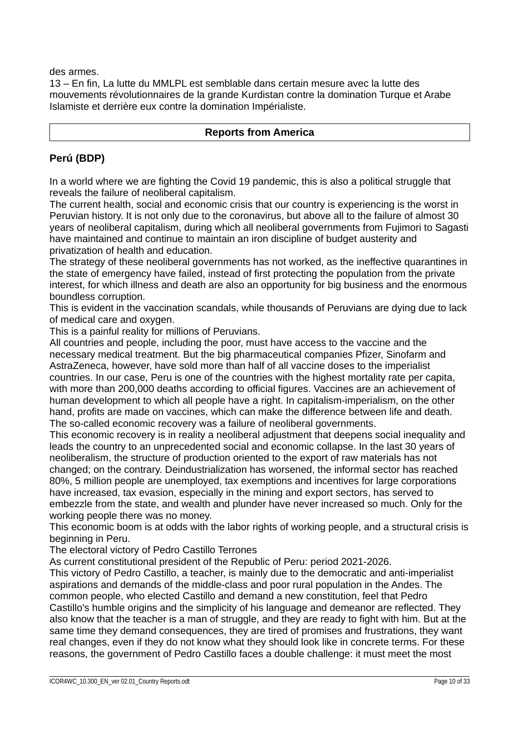des armes.

13 – En fin, La lutte du MMLPL est semblable dans certain mesure avec la lutte des mouvements révolutionnaires de la grande Kurdistan contre la domination Turque et Arabe Islamiste et derrière eux contre la domination Impérialiste.

#### **Reports from America**

## **Perú (BDP)**

In a world where we are fighting the Covid 19 pandemic, this is also a political struggle that reveals the failure of neoliberal capitalism.

The current health, social and economic crisis that our country is experiencing is the worst in Peruvian history. It is not only due to the coronavirus, but above all to the failure of almost 30 years of neoliberal capitalism, during which all neoliberal governments from Fujimori to Sagasti have maintained and continue to maintain an iron discipline of budget austerity and privatization of health and education.

The strategy of these neoliberal governments has not worked, as the ineffective quarantines in the state of emergency have failed, instead of first protecting the population from the private interest, for which illness and death are also an opportunity for big business and the enormous boundless corruption.

This is evident in the vaccination scandals, while thousands of Peruvians are dying due to lack of medical care and oxygen.

This is a painful reality for millions of Peruvians.

All countries and people, including the poor, must have access to the vaccine and the necessary medical treatment. But the big pharmaceutical companies Pfizer, Sinofarm and AstraZeneca, however, have sold more than half of all vaccine doses to the imperialist countries. In our case, Peru is one of the countries with the highest mortality rate per capita, with more than 200,000 deaths according to official figures. Vaccines are an achievement of human development to which all people have a right. In capitalism-imperialism, on the other hand, profits are made on vaccines, which can make the difference between life and death. The so-called economic recovery was a failure of neoliberal governments.

This economic recovery is in reality a neoliberal adjustment that deepens social inequality and leads the country to an unprecedented social and economic collapse. In the last 30 years of neoliberalism, the structure of production oriented to the export of raw materials has not changed; on the contrary. Deindustrialization has worsened, the informal sector has reached 80%, 5 million people are unemployed, tax exemptions and incentives for large corporations have increased, tax evasion, especially in the mining and export sectors, has served to embezzle from the state, and wealth and plunder have never increased so much. Only for the working people there was no money.

This economic boom is at odds with the labor rights of working people, and a structural crisis is beginning in Peru.

The electoral victory of Pedro Castillo Terrones

As current constitutional president of the Republic of Peru: period 2021-2026.

This victory of Pedro Castillo, a teacher, is mainly due to the democratic and anti-imperialist aspirations and demands of the middle-class and poor rural population in the Andes. The common people, who elected Castillo and demand a new constitution, feel that Pedro Castillo's humble origins and the simplicity of his language and demeanor are reflected. They also know that the teacher is a man of struggle, and they are ready to fight with him. But at the same time they demand consequences, they are tired of promises and frustrations, they want real changes, even if they do not know what they should look like in concrete terms. For these reasons, the government of Pedro Castillo faces a double challenge: it must meet the most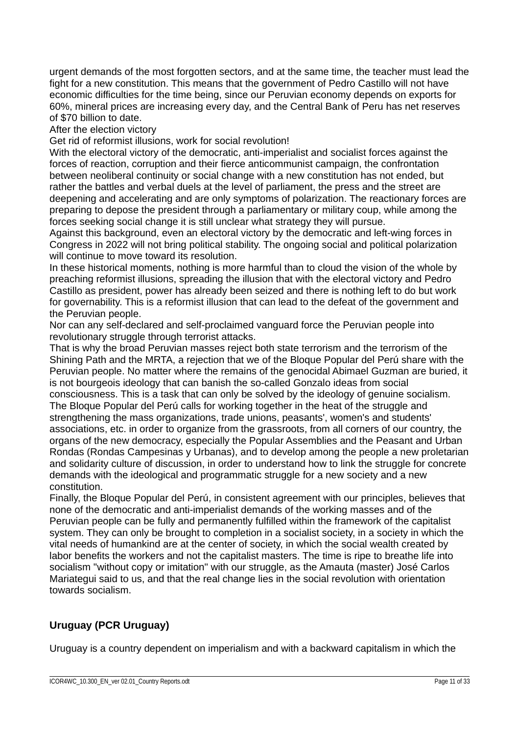urgent demands of the most forgotten sectors, and at the same time, the teacher must lead the fight for a new constitution. This means that the government of Pedro Castillo will not have economic difficulties for the time being, since our Peruvian economy depends on exports for 60%, mineral prices are increasing every day, and the Central Bank of Peru has net reserves of \$70 billion to date.

After the election victory

Get rid of reformist illusions, work for social revolution!

With the electoral victory of the democratic, anti-imperialist and socialist forces against the forces of reaction, corruption and their fierce anticommunist campaign, the confrontation between neoliberal continuity or social change with a new constitution has not ended, but rather the battles and verbal duels at the level of parliament, the press and the street are deepening and accelerating and are only symptoms of polarization. The reactionary forces are preparing to depose the president through a parliamentary or military coup, while among the forces seeking social change it is still unclear what strategy they will pursue.

Against this background, even an electoral victory by the democratic and left-wing forces in Congress in 2022 will not bring political stability. The ongoing social and political polarization will continue to move toward its resolution.

In these historical moments, nothing is more harmful than to cloud the vision of the whole by preaching reformist illusions, spreading the illusion that with the electoral victory and Pedro Castillo as president, power has already been seized and there is nothing left to do but work for governability. This is a reformist illusion that can lead to the defeat of the government and the Peruvian people.

Nor can any self-declared and self-proclaimed vanguard force the Peruvian people into revolutionary struggle through terrorist attacks.

That is why the broad Peruvian masses reject both state terrorism and the terrorism of the Shining Path and the MRTA, a rejection that we of the Bloque Popular del Perú share with the Peruvian people. No matter where the remains of the genocidal Abimael Guzman are buried, it is not bourgeois ideology that can banish the so-called Gonzalo ideas from social consciousness. This is a task that can only be solved by the ideology of genuine socialism. The Bloque Popular del Perú calls for working together in the heat of the struggle and strengthening the mass organizations, trade unions, peasants', women's and students' associations, etc. in order to organize from the grassroots, from all corners of our country, the organs of the new democracy, especially the Popular Assemblies and the Peasant and Urban Rondas (Rondas Campesinas y Urbanas), and to develop among the people a new proletarian and solidarity culture of discussion, in order to understand how to link the struggle for concrete demands with the ideological and programmatic struggle for a new society and a new constitution.

Finally, the Bloque Popular del Perú, in consistent agreement with our principles, believes that none of the democratic and anti-imperialist demands of the working masses and of the Peruvian people can be fully and permanently fulfilled within the framework of the capitalist system. They can only be brought to completion in a socialist society, in a society in which the vital needs of humankind are at the center of society, in which the social wealth created by labor benefits the workers and not the capitalist masters. The time is ripe to breathe life into socialism "without copy or imitation" with our struggle, as the Amauta (master) José Carlos Mariategui said to us, and that the real change lies in the social revolution with orientation towards socialism.

# **Uruguay (PCR Uruguay)**

Uruguay is a country dependent on imperialism and with a backward capitalism in which the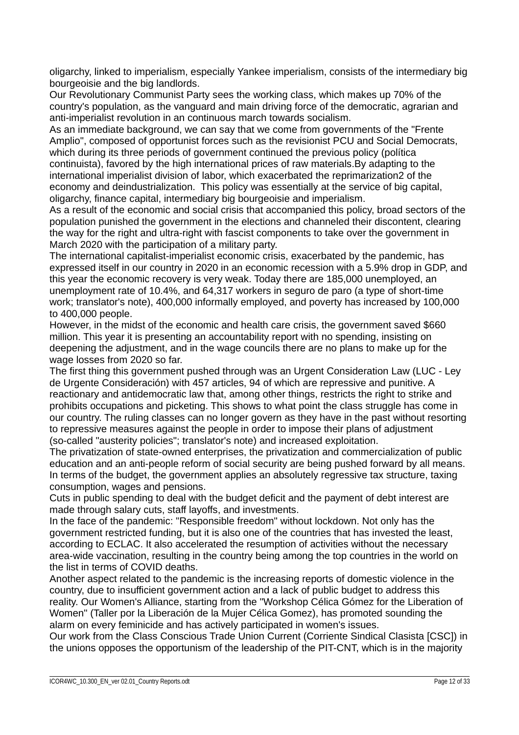oligarchy, linked to imperialism, especially Yankee imperialism, consists of the intermediary big bourgeoisie and the big landlords.

Our Revolutionary Communist Party sees the working class, which makes up 70% of the country's population, as the vanguard and main driving force of the democratic, agrarian and anti-imperialist revolution in an continuous march towards socialism.

As an immediate background, we can say that we come from governments of the "Frente Amplio", composed of opportunist forces such as the revisionist PCU and Social Democrats, which during its three periods of government continued the previous policy (política continuista), favored by the high international prices of raw materials.By adapting to the international imperialist division of labor, which exacerbated the reprimarization2 of the economy and deindustrialization. This policy was essentially at the service of big capital, oligarchy, finance capital, intermediary big bourgeoisie and imperialism.

As a result of the economic and social crisis that accompanied this policy, broad sectors of the population punished the government in the elections and channeled their discontent, clearing the way for the right and ultra-right with fascist components to take over the government in March 2020 with the participation of a military party.

The international capitalist-imperialist economic crisis, exacerbated by the pandemic, has expressed itself in our country in 2020 in an economic recession with a 5.9% drop in GDP, and this year the economic recovery is very weak. Today there are 185,000 unemployed, an unemployment rate of 10.4%, and 64,317 workers in seguro de paro (a type of short-time work; translator's note), 400,000 informally employed, and poverty has increased by 100,000 to 400,000 people.

However, in the midst of the economic and health care crisis, the government saved \$660 million. This year it is presenting an accountability report with no spending, insisting on deepening the adjustment, and in the wage councils there are no plans to make up for the wage losses from 2020 so far.

The first thing this government pushed through was an Urgent Consideration Law (LUC - Ley de Urgente Consideración) with 457 articles, 94 of which are repressive and punitive. A reactionary and antidemocratic law that, among other things, restricts the right to strike and prohibits occupations and picketing. This shows to what point the class struggle has come in our country. The ruling classes can no longer govern as they have in the past without resorting to repressive measures against the people in order to impose their plans of adjustment (so-called "austerity policies"; translator's note) and increased exploitation.

The privatization of state-owned enterprises, the privatization and commercialization of public education and an anti-people reform of social security are being pushed forward by all means. In terms of the budget, the government applies an absolutely regressive tax structure, taxing consumption, wages and pensions.

Cuts in public spending to deal with the budget deficit and the payment of debt interest are made through salary cuts, staff layoffs, and investments.

In the face of the pandemic: "Responsible freedom" without lockdown. Not only has the government restricted funding, but it is also one of the countries that has invested the least, according to ECLAC. It also accelerated the resumption of activities without the necessary area-wide vaccination, resulting in the country being among the top countries in the world on the list in terms of COVID deaths.

Another aspect related to the pandemic is the increasing reports of domestic violence in the country, due to insufficient government action and a lack of public budget to address this reality. Our Women's Alliance, starting from the "Workshop Célica Gómez for the Liberation of Women" (Taller por la Liberación de la Mujer Célica Gomez), has promoted sounding the alarm on every feminicide and has actively participated in women's issues.

Our work from the Class Conscious Trade Union Current (Corriente Sindical Clasista [CSC]) in the unions opposes the opportunism of the leadership of the PIT-CNT, which is in the majority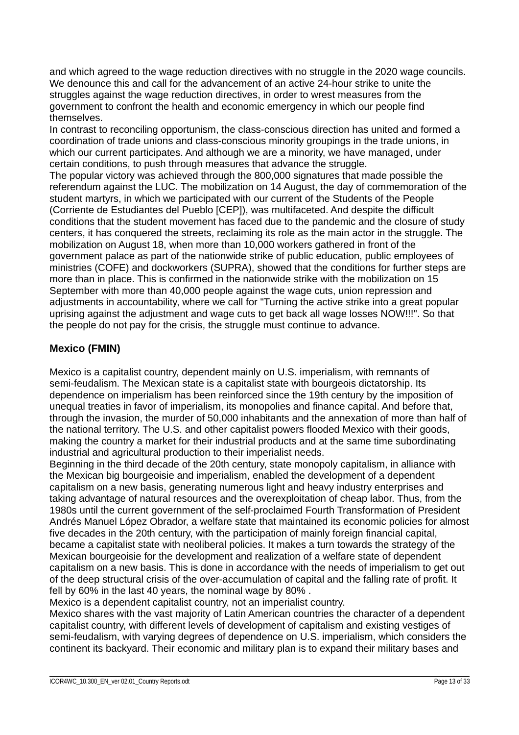and which agreed to the wage reduction directives with no struggle in the 2020 wage councils. We denounce this and call for the advancement of an active 24-hour strike to unite the struggles against the wage reduction directives, in order to wrest measures from the government to confront the health and economic emergency in which our people find themselves.

In contrast to reconciling opportunism, the class-conscious direction has united and formed a coordination of trade unions and class-conscious minority groupings in the trade unions, in which our current participates. And although we are a minority, we have managed, under certain conditions, to push through measures that advance the struggle.

The popular victory was achieved through the 800,000 signatures that made possible the referendum against the LUC. The mobilization on 14 August, the day of commemoration of the student martyrs, in which we participated with our current of the Students of the People (Corriente de Estudiantes del Pueblo [CEP]), was multifaceted. And despite the difficult conditions that the student movement has faced due to the pandemic and the closure of study centers, it has conquered the streets, reclaiming its role as the main actor in the struggle. The mobilization on August 18, when more than 10,000 workers gathered in front of the government palace as part of the nationwide strike of public education, public employees of ministries (COFE) and dockworkers (SUPRA), showed that the conditions for further steps are more than in place. This is confirmed in the nationwide strike with the mobilization on 15 September with more than 40,000 people against the wage cuts, union repression and adjustments in accountability, where we call for "Turning the active strike into a great popular uprising against the adjustment and wage cuts to get back all wage losses NOW!!!". So that the people do not pay for the crisis, the struggle must continue to advance.

## **Mexico (FMIN)**

Mexico is a capitalist country, dependent mainly on U.S. imperialism, with remnants of semi-feudalism. The Mexican state is a capitalist state with bourgeois dictatorship. Its dependence on imperialism has been reinforced since the 19th century by the imposition of unequal treaties in favor of imperialism, its monopolies and finance capital. And before that, through the invasion, the murder of 50,000 inhabitants and the annexation of more than half of the national territory. The U.S. and other capitalist powers flooded Mexico with their goods, making the country a market for their industrial products and at the same time subordinating industrial and agricultural production to their imperialist needs.

Beginning in the third decade of the 20th century, state monopoly capitalism, in alliance with the Mexican big bourgeoisie and imperialism, enabled the development of a dependent capitalism on a new basis, generating numerous light and heavy industry enterprises and taking advantage of natural resources and the overexploitation of cheap labor. Thus, from the 1980s until the current government of the self-proclaimed Fourth Transformation of President Andrés Manuel López Obrador, a welfare state that maintained its economic policies for almost five decades in the 20th century, with the participation of mainly foreign financial capital, became a capitalist state with neoliberal policies. It makes a turn towards the strategy of the Mexican bourgeoisie for the development and realization of a welfare state of dependent capitalism on a new basis. This is done in accordance with the needs of imperialism to get out of the deep structural crisis of the over-accumulation of capital and the falling rate of profit. It fell by 60% in the last 40 years, the nominal wage by 80% .

Mexico is a dependent capitalist country, not an imperialist country.

Mexico shares with the vast majority of Latin American countries the character of a dependent capitalist country, with different levels of development of capitalism and existing vestiges of semi-feudalism, with varying degrees of dependence on U.S. imperialism, which considers the continent its backyard. Their economic and military plan is to expand their military bases and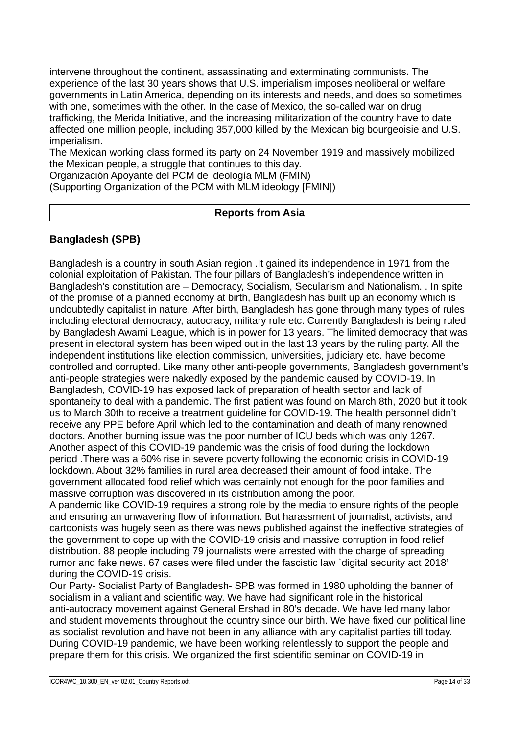intervene throughout the continent, assassinating and exterminating communists. The experience of the last 30 years shows that U.S. imperialism imposes neoliberal or welfare governments in Latin America, depending on its interests and needs, and does so sometimes with one, sometimes with the other. In the case of Mexico, the so-called war on drug trafficking, the Merida Initiative, and the increasing militarization of the country have to date affected one million people, including 357,000 killed by the Mexican big bourgeoisie and U.S. imperialism.

The Mexican working class formed its party on 24 November 1919 and massively mobilized the Mexican people, a struggle that continues to this day.

Organización Apoyante del PCM de ideología MLM (FMIN)

(Supporting Organization of the PCM with MLM ideology [FMIN])

#### **Reports from Asia**

#### **Bangladesh (SPB)**

Bangladesh is a country in south Asian region .It gained its independence in 1971 from the colonial exploitation of Pakistan. The four pillars of Bangladesh's independence written in Bangladesh's constitution are – Democracy, Socialism, Secularism and Nationalism. . In spite of the promise of a planned economy at birth, Bangladesh has built up an economy which is undoubtedly capitalist in nature. After birth, Bangladesh has gone through many types of rules including electoral democracy, autocracy, military rule etc. Currently Bangladesh is being ruled by Bangladesh Awami League, which is in power for 13 years. The limited democracy that was present in electoral system has been wiped out in the last 13 years by the ruling party. All the independent institutions like election commission, universities, judiciary etc. have become controlled and corrupted. Like many other anti-people governments, Bangladesh government's anti-people strategies were nakedly exposed by the pandemic caused by COVID-19. In Bangladesh, COVID-19 has exposed lack of preparation of health sector and lack of spontaneity to deal with a pandemic. The first patient was found on March 8th, 2020 but it took us to March 30th to receive a treatment guideline for COVID-19. The health personnel didn't receive any PPE before April which led to the contamination and death of many renowned doctors. Another burning issue was the poor number of ICU beds which was only 1267. Another aspect of this COVID-19 pandemic was the crisis of food during the lockdown period .There was a 60% rise in severe poverty following the economic crisis in COVID-19 lockdown. About 32% families in rural area decreased their amount of food intake. The government allocated food relief which was certainly not enough for the poor families and massive corruption was discovered in its distribution among the poor.

A pandemic like COVID-19 requires a strong role by the media to ensure rights of the people and ensuring an unwavering flow of information. But harassment of journalist, activists, and cartoonists was hugely seen as there was news published against the ineffective strategies of the government to cope up with the COVID-19 crisis and massive corruption in food relief distribution. 88 people including 79 journalists were arrested with the charge of spreading rumor and fake news. 67 cases were filed under the fascistic law `digital security act 2018' during the COVID-19 crisis.

Our Party- Socialist Party of Bangladesh- SPB was formed in 1980 upholding the banner of socialism in a valiant and scientific way. We have had significant role in the historical anti-autocracy movement against General Ershad in 80's decade. We have led many labor and student movements throughout the country since our birth. We have fixed our political line as socialist revolution and have not been in any alliance with any capitalist parties till today. During COVID-19 pandemic, we have been working relentlessly to support the people and prepare them for this crisis. We organized the first scientific seminar on COVID-19 in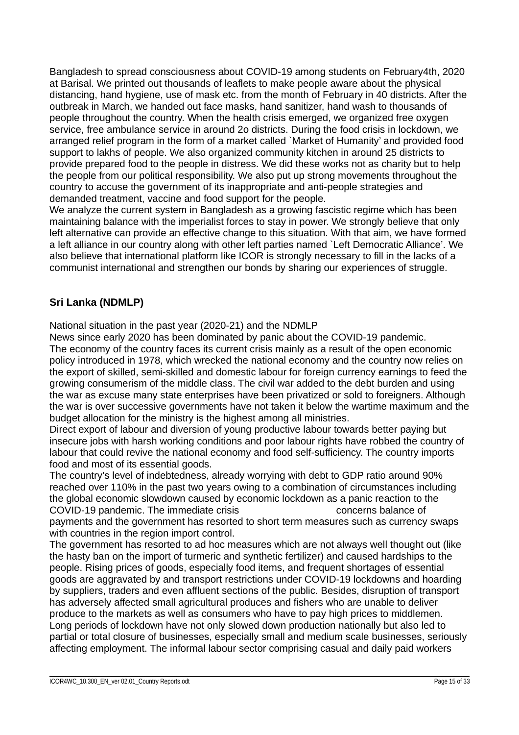Bangladesh to spread consciousness about COVID-19 among students on February4th, 2020 at Barisal. We printed out thousands of leaflets to make people aware about the physical distancing, hand hygiene, use of mask etc. from the month of February in 40 districts. After the outbreak in March, we handed out face masks, hand sanitizer, hand wash to thousands of people throughout the country. When the health crisis emerged, we organized free oxygen service, free ambulance service in around 2o districts. During the food crisis in lockdown, we arranged relief program in the form of a market called `Market of Humanity' and provided food support to lakhs of people. We also organized community kitchen in around 25 districts to provide prepared food to the people in distress. We did these works not as charity but to help the people from our political responsibility. We also put up strong movements throughout the country to accuse the government of its inappropriate and anti-people strategies and demanded treatment, vaccine and food support for the people.

We analyze the current system in Bangladesh as a growing fascistic regime which has been maintaining balance with the imperialist forces to stay in power. We strongly believe that only left alternative can provide an effective change to this situation. With that aim, we have formed a left alliance in our country along with other left parties named `Left Democratic Alliance'. We also believe that international platform like ICOR is strongly necessary to fill in the lacks of a communist international and strengthen our bonds by sharing our experiences of struggle.

## **Sri Lanka (NDMLP)**

National situation in the past year (2020-21) and the NDMLP

News since early 2020 has been dominated by panic about the COVID-19 pandemic. The economy of the country faces its current crisis mainly as a result of the open economic policy introduced in 1978, which wrecked the national economy and the country now relies on the export of skilled, semi-skilled and domestic labour for foreign currency earnings to feed the growing consumerism of the middle class. The civil war added to the debt burden and using the war as excuse many state enterprises have been privatized or sold to foreigners. Although the war is over successive governments have not taken it below the wartime maximum and the budget allocation for the ministry is the highest among all ministries.

Direct export of labour and diversion of young productive labour towards better paying but insecure jobs with harsh working conditions and poor labour rights have robbed the country of labour that could revive the national economy and food self-sufficiency. The country imports food and most of its essential goods.

The country's level of indebtedness, already worrying with debt to GDP ratio around 90% reached over 110% in the past two years owing to a combination of circumstances including the global economic slowdown caused by economic lockdown as a panic reaction to the COVID-19 pandemic. The immediate crisis concerns balance of payments and the government has resorted to short term measures such as currency swaps with countries in the region import control.

The government has resorted to ad hoc measures which are not always well thought out (like the hasty ban on the import of turmeric and synthetic fertilizer) and caused hardships to the people. Rising prices of goods, especially food items, and frequent shortages of essential goods are aggravated by and transport restrictions under COVID-19 lockdowns and hoarding by suppliers, traders and even affluent sections of the public. Besides, disruption of transport has adversely affected small agricultural produces and fishers who are unable to deliver produce to the markets as well as consumers who have to pay high prices to middlemen. Long periods of lockdown have not only slowed down production nationally but also led to partial or total closure of businesses, especially small and medium scale businesses, seriously affecting employment. The informal labour sector comprising casual and daily paid workers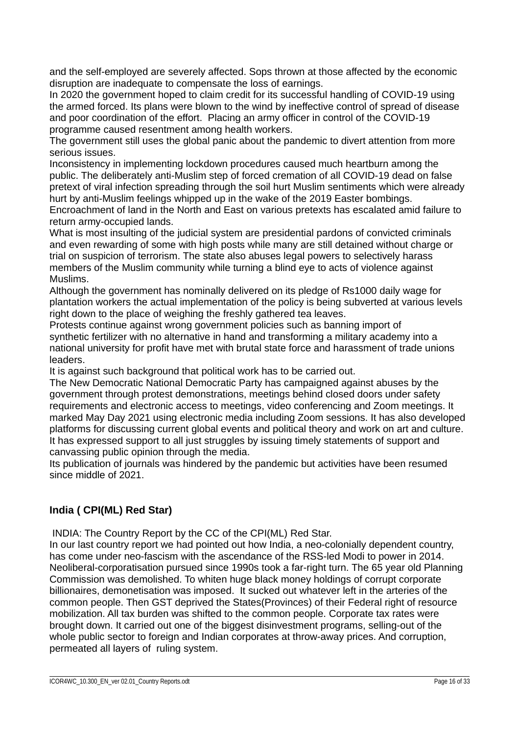and the self-employed are severely affected. Sops thrown at those affected by the economic disruption are inadequate to compensate the loss of earnings.

In 2020 the government hoped to claim credit for its successful handling of COVID-19 using the armed forced. Its plans were blown to the wind by ineffective control of spread of disease and poor coordination of the effort. Placing an army officer in control of the COVID-19 programme caused resentment among health workers.

The government still uses the global panic about the pandemic to divert attention from more serious issues.

Inconsistency in implementing lockdown procedures caused much heartburn among the public. The deliberately anti-Muslim step of forced cremation of all COVID-19 dead on false pretext of viral infection spreading through the soil hurt Muslim sentiments which were already hurt by anti-Muslim feelings whipped up in the wake of the 2019 Easter bombings. Encroachment of land in the North and East on various pretexts has escalated amid failure to return army-occupied lands.

What is most insulting of the judicial system are presidential pardons of convicted criminals and even rewarding of some with high posts while many are still detained without charge or trial on suspicion of terrorism. The state also abuses legal powers to selectively harass members of the Muslim community while turning a blind eye to acts of violence against Muslims.

Although the government has nominally delivered on its pledge of Rs1000 daily wage for plantation workers the actual implementation of the policy is being subverted at various levels right down to the place of weighing the freshly gathered tea leaves.

Protests continue against wrong government policies such as banning import of synthetic fertilizer with no alternative in hand and transforming a military academy into a national university for profit have met with brutal state force and harassment of trade unions leaders.

It is against such background that political work has to be carried out.

The New Democratic National Democratic Party has campaigned against abuses by the government through protest demonstrations, meetings behind closed doors under safety requirements and electronic access to meetings, video conferencing and Zoom meetings. It marked May Day 2021 using electronic media including Zoom sessions. It has also developed platforms for discussing current global events and political theory and work on art and culture. It has expressed support to all just struggles by issuing timely statements of support and canvassing public opinion through the media.

Its publication of journals was hindered by the pandemic but activities have been resumed since middle of 2021.

## **India ( CPI(ML) Red Star)**

INDIA: The Country Report by the CC of the CPI(ML) Red Star.

In our last country report we had pointed out how India, a neo-colonially dependent country, has come under neo-fascism with the ascendance of the RSS-led Modi to power in 2014. Neoliberal-corporatisation pursued since 1990s took a far-right turn. The 65 year old Planning Commission was demolished. To whiten huge black money holdings of corrupt corporate billionaires, demonetisation was imposed. It sucked out whatever left in the arteries of the common people. Then GST deprived the States(Provinces) of their Federal right of resource mobilization. All tax burden was shifted to the common people. Corporate tax rates were brought down. It carried out one of the biggest disinvestment programs, selling-out of the whole public sector to foreign and Indian corporates at throw-away prices. And corruption, permeated all layers of ruling system.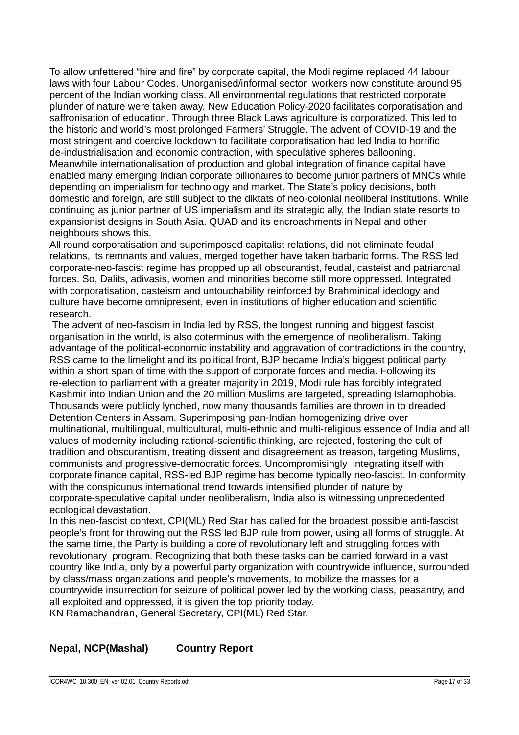To allow unfettered "hire and fire" by corporate capital, the Modi regime replaced 44 labour laws with four Labour Codes. Unorganised/informal sector workers now constitute around 95 percent of the Indian working class. All environmental regulations that restricted corporate plunder of nature were taken away. New Education Policy-2020 facilitates corporatisation and saffronisation of education. Through three Black Laws agriculture is corporatized. This led to the historic and world's most prolonged Farmers' Struggle. The advent of COVID-19 and the most stringent and coercive lockdown to facilitate corporatisation had led India to horrific de-industrialisation and economic contraction, with speculative spheres ballooning. Meanwhile internationalisation of production and global integration of finance capital have enabled many emerging Indian corporate billionaires to become junior partners of MNCs while depending on imperialism for technology and market. The State's policy decisions, both domestic and foreign, are still subject to the diktats of neo-colonial neoliberal institutions. While continuing as junior partner of US imperialism and its strategic ally, the Indian state resorts to expansionist designs in South Asia. QUAD and its encroachments in Nepal and other neighbours shows this.

All round corporatisation and superimposed capitalist relations, did not eliminate feudal relations, its remnants and values, merged together have taken barbaric forms. The RSS led corporate-neo-fascist regime has propped up all obscurantist, feudal, casteist and patriarchal forces. So, Dalits, adivasis, women and minorities become still more oppressed. Integrated with corporatisation, casteism and untouchability reinforced by Brahminical ideology and culture have become omnipresent, even in institutions of higher education and scientific research.

 The advent of neo-fascism in India led by RSS, the longest running and biggest fascist organisation in the world, is also coterminus with the emergence of neoliberalism. Taking advantage of the political-economic instability and aggravation of contradictions in the country, RSS came to the limelight and its political front, BJP became India's biggest political party within a short span of time with the support of corporate forces and media. Following its re-election to parliament with a greater majority in 2019, Modi rule has forcibly integrated Kashmir into Indian Union and the 20 million Muslims are targeted, spreading Islamophobia. Thousands were publicly lynched, now many thousands families are thrown in to dreaded Detention Centers in Assam. Superimposing pan-Indian homogenizing drive over multinational, multilingual, multicultural, multi-ethnic and multi-religious essence of India and all values of modernity including rational-scientific thinking, are rejected, fostering the cult of tradition and obscurantism, treating dissent and disagreement as treason, targeting Muslims, communists and progressive-democratic forces. Uncompromisingly integrating itself with corporate finance capital, RSS-led BJP regime has become typically neo-fascist. In conformity with the conspicuous international trend towards intensified plunder of nature by corporate-speculative capital under neoliberalism, India also is witnessing unprecedented ecological devastation.

In this neo-fascist context, CPI(ML) Red Star has called for the broadest possible anti-fascist people's front for throwing out the RSS led BJP rule from power, using all forms of struggle. At the same time, the Party is building a core of revolutionary left and struggling forces with revolutionary program. Recognizing that both these tasks can be carried forward in a vast country like India, only by a powerful party organization with countrywide influence, surrounded by class/mass organizations and people's movements, to mobilize the masses for a countrywide insurrection for seizure of political power led by the working class, peasantry, and all exploited and oppressed, it is given the top priority today. KN Ramachandran, General Secretary, CPI(ML) Red Star.

## **Nepal, NCP(Mashal) Country Report**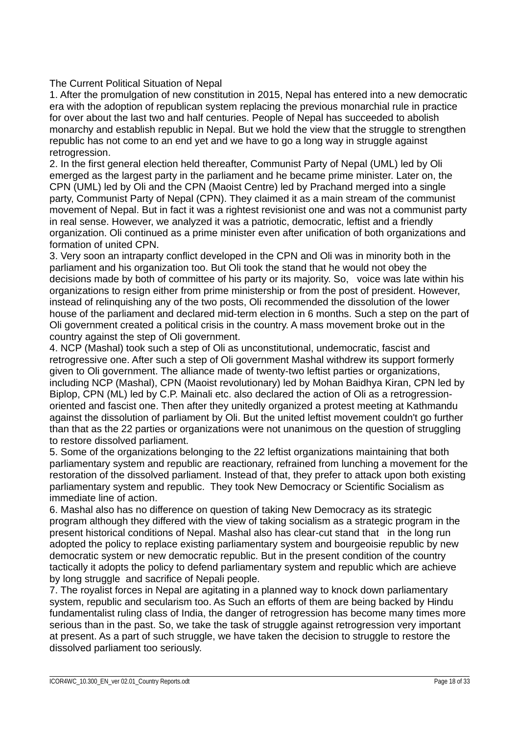The Current Political Situation of Nepal

1. After the promulgation of new constitution in 2015, Nepal has entered into a new democratic era with the adoption of republican system replacing the previous monarchial rule in practice for over about the last two and half centuries. People of Nepal has succeeded to abolish monarchy and establish republic in Nepal. But we hold the view that the struggle to strengthen republic has not come to an end yet and we have to go a long way in struggle against retrogression.

2. In the first general election held thereafter, Communist Party of Nepal (UML) led by Oli emerged as the largest party in the parliament and he became prime minister. Later on, the CPN (UML) led by Oli and the CPN (Maoist Centre) led by Prachand merged into a single party, Communist Party of Nepal (CPN). They claimed it as a main stream of the communist movement of Nepal. But in fact it was a rightest revisionist one and was not a communist party in real sense. However, we analyzed it was a patriotic, democratic, leftist and a friendly organization. Oli continued as a prime minister even after unification of both organizations and formation of united CPN.

3. Very soon an intraparty conflict developed in the CPN and Oli was in minority both in the parliament and his organization too. But Oli took the stand that he would not obey the decisions made by both of committee of his party or its majority. So, voice was late within his organizations to resign either from prime ministership or from the post of president. However, instead of relinquishing any of the two posts, Oli recommended the dissolution of the lower house of the parliament and declared mid-term election in 6 months. Such a step on the part of Oli government created a political crisis in the country. A mass movement broke out in the country against the step of Oli government.

4. NCP (Mashal) took such a step of Oli as unconstitutional, undemocratic, fascist and retrogressive one. After such a step of Oli government Mashal withdrew its support formerly given to Oli government. The alliance made of twenty-two leftist parties or organizations, including NCP (Mashal), CPN (Maoist revolutionary) led by Mohan Baidhya Kiran, CPN led by Biplop, CPN (ML) led by C.P. Mainali etc. also declared the action of Oli as a retrogressionoriented and fascist one. Then after they unitedly organized a protest meeting at Kathmandu against the dissolution of parliament by Oli. But the united leftist movement couldn't go further than that as the 22 parties or organizations were not unanimous on the question of struggling to restore dissolved parliament.

5. Some of the organizations belonging to the 22 leftist organizations maintaining that both parliamentary system and republic are reactionary, refrained from lunching a movement for the restoration of the dissolved parliament. Instead of that, they prefer to attack upon both existing parliamentary system and republic. They took New Democracy or Scientific Socialism as immediate line of action.

6. Mashal also has no difference on question of taking New Democracy as its strategic program although they differed with the view of taking socialism as a strategic program in the present historical conditions of Nepal. Mashal also has clear-cut stand that in the long run adopted the policy to replace existing parliamentary system and bourgeoisie republic by new democratic system or new democratic republic. But in the present condition of the country tactically it adopts the policy to defend parliamentary system and republic which are achieve by long struggle and sacrifice of Nepali people.

7. The royalist forces in Nepal are agitating in a planned way to knock down parliamentary system, republic and secularism too. As Such an efforts of them are being backed by Hindu fundamentalist ruling class of India, the danger of retrogression has become many times more serious than in the past. So, we take the task of struggle against retrogression very important at present. As a part of such struggle, we have taken the decision to struggle to restore the dissolved parliament too seriously.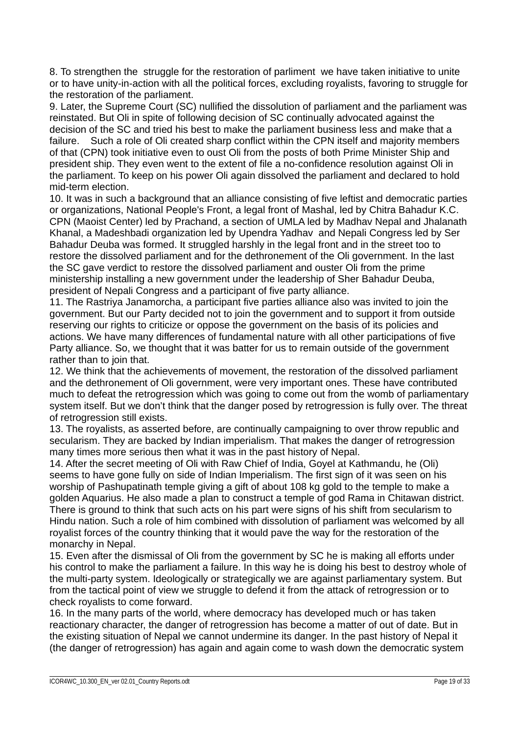8. To strengthen the struggle for the restoration of parliment we have taken initiative to unite or to have unity-in-action with all the political forces, excluding royalists, favoring to struggle for the restoration of the parliament.

9. Later, the Supreme Court (SC) nullified the dissolution of parliament and the parliament was reinstated. But Oli in spite of following decision of SC continually advocated against the decision of the SC and tried his best to make the parliament business less and make that a failure. Such a role of Oli created sharp conflict within the CPN itself and majority members of that (CPN) took initiative even to oust Oli from the posts of both Prime Minister Ship and president ship. They even went to the extent of file a no-confidence resolution against Oli in the parliament. To keep on his power Oli again dissolved the parliament and declared to hold mid-term election.

10. It was in such a background that an alliance consisting of five leftist and democratic parties or organizations, National People's Front, a legal front of Mashal, led by Chitra Bahadur K.C. CPN (Maoist Center) led by Prachand, a section of UMLA led by Madhav Nepal and Jhalanath Khanal, a Madeshbadi organization led by Upendra Yadhav and Nepali Congress led by Ser Bahadur Deuba was formed. It struggled harshly in the legal front and in the street too to restore the dissolved parliament and for the dethronement of the Oli government. In the last the SC gave verdict to restore the dissolved parliament and ouster Oli from the prime ministership installing a new government under the leadership of Sher Bahadur Deuba, president of Nepali Congress and a participant of five party alliance.

11. The Rastriya Janamorcha, a participant five parties alliance also was invited to join the government. But our Party decided not to join the government and to support it from outside reserving our rights to criticize or oppose the government on the basis of its policies and actions. We have many differences of fundamental nature with all other participations of five Party alliance. So, we thought that it was batter for us to remain outside of the government rather than to join that.

12. We think that the achievements of movement, the restoration of the dissolved parliament and the dethronement of Oli government, were very important ones. These have contributed much to defeat the retrogression which was going to come out from the womb of parliamentary system itself. But we don't think that the danger posed by retrogression is fully over. The threat of retrogression still exists.

13. The royalists, as asserted before, are continually campaigning to over throw republic and secularism. They are backed by Indian imperialism. That makes the danger of retrogression many times more serious then what it was in the past history of Nepal.

14. After the secret meeting of Oli with Raw Chief of India, Goyel at Kathmandu, he (Oli) seems to have gone fully on side of Indian Imperialism. The first sign of it was seen on his worship of Pashupatinath temple giving a gift of about 108 kg gold to the temple to make a golden Aquarius. He also made a plan to construct a temple of god Rama in Chitawan district. There is ground to think that such acts on his part were signs of his shift from secularism to Hindu nation. Such a role of him combined with dissolution of parliament was welcomed by all royalist forces of the country thinking that it would pave the way for the restoration of the monarchy in Nepal.

15. Even after the dismissal of Oli from the government by SC he is making all efforts under his control to make the parliament a failure. In this way he is doing his best to destroy whole of the multi-party system. Ideologically or strategically we are against parliamentary system. But from the tactical point of view we struggle to defend it from the attack of retrogression or to check royalists to come forward.

16. In the many parts of the world, where democracy has developed much or has taken reactionary character, the danger of retrogression has become a matter of out of date. But in the existing situation of Nepal we cannot undermine its danger. In the past history of Nepal it (the danger of retrogression) has again and again come to wash down the democratic system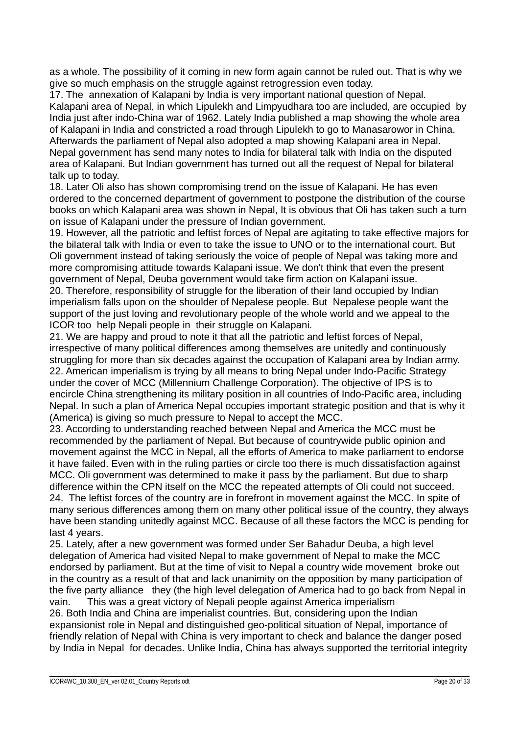as a whole. The possibility of it coming in new form again cannot be ruled out. That is why we give so much emphasis on the struggle against retrogression even today.

17. The annexation of Kalapani by India is very important national question of Nepal. Kalapani area of Nepal, in which Lipulekh and Limpyudhara too are included, are occupied by India just after indo-China war of 1962. Lately India published a map showing the whole area of Kalapani in India and constricted a road through Lipulekh to go to Manasarowor in China. Afterwards the parliament of Nepal also adopted a map showing Kalapani area in Nepal. Nepal government has send many notes to India for bilateral talk with India on the disputed area of Kalapani. But Indian government has turned out all the request of Nepal for bilateral talk up to today.

18. Later Oli also has shown compromising trend on the issue of Kalapani. He has even ordered to the concerned department of government to postpone the distribution of the course books on which Kalapani area was shown in Nepal, It is obvious that Oli has taken such a turn on issue of Kalapani under the pressure of Indian government.

19. However, all the patriotic and leftist forces of Nepal are agitating to take effective majors for the bilateral talk with India or even to take the issue to UNO or to the international court. But Oli government instead of taking seriously the voice of people of Nepal was taking more and more compromising attitude towards Kalapani issue. We don't think that even the present government of Nepal, Deuba government would take firm action on Kalapani issue.

20. Therefore, responsibility of struggle for the liberation of their land occupied by Indian imperialism falls upon on the shoulder of Nepalese people. But Nepalese people want the support of the just loving and revolutionary people of the whole world and we appeal to the ICOR too help Nepali people in their struggle on Kalapani.

21. We are happy and proud to note it that all the patriotic and leftist forces of Nepal, irrespective of many political differences among themselves are unitedly and continuously struggling for more than six decades against the occupation of Kalapani area by Indian army. 22. American imperialism is trying by all means to bring Nepal under Indo-Pacific Strategy under the cover of MCC (Millennium Challenge Corporation). The objective of IPS is to encircle China strengthening its military position in all countries of Indo-Pacific area, including Nepal. In such a plan of America Nepal occupies important strategic position and that is why it (America) is giving so much pressure to Nepal to accept the MCC.

23. According to understanding reached between Nepal and America the MCC must be recommended by the parliament of Nepal. But because of countrywide public opinion and movement against the MCC in Nepal, all the efforts of America to make parliament to endorse it have failed. Even with in the ruling parties or circle too there is much dissatisfaction against MCC. Oli government was determined to make it pass by the parliament. But due to sharp difference within the CPN itself on the MCC the repeated attempts of Oli could not succeed. 24. The leftist forces of the country are in forefront in movement against the MCC. In spite of many serious differences among them on many other political issue of the country, they always have been standing unitedly against MCC. Because of all these factors the MCC is pending for last 4 years.

25. Lately, after a new government was formed under Ser Bahadur Deuba, a high level delegation of America had visited Nepal to make government of Nepal to make the MCC endorsed by parliament. But at the time of visit to Nepal a country wide movement broke out in the country as a result of that and lack unanimity on the opposition by many participation of the five party alliance they (the high level delegation of America had to go back from Nepal in vain. This was a great victory of Nepali people against America imperialism 26. Both India and China are imperialist countries. But, considering upon the Indian expansionist role in Nepal and distinguished geo-political situation of Nepal, importance of friendly relation of Nepal with China is very important to check and balance the danger posed by India in Nepal for decades. Unlike India, China has always supported the territorial integrity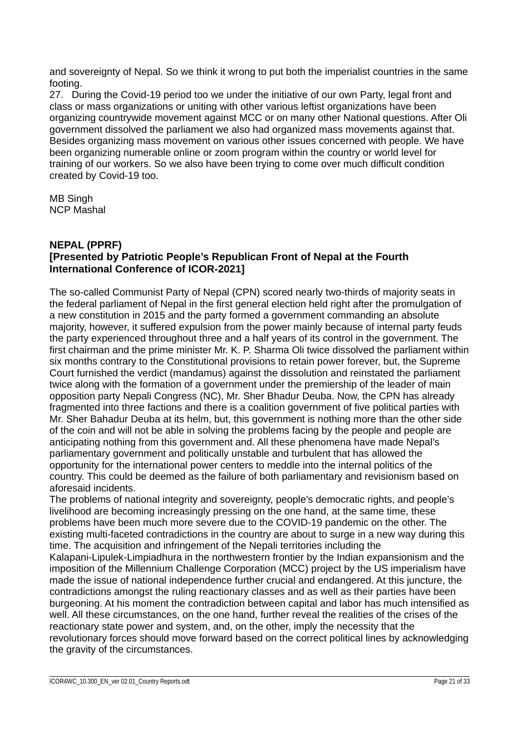and sovereignty of Nepal. So we think it wrong to put both the imperialist countries in the same footing.

27. During the Covid-19 period too we under the initiative of our own Party, legal front and class or mass organizations or uniting with other various leftist organizations have been organizing countrywide movement against MCC or on many other National questions. After Oli government dissolved the parliament we also had organized mass movements against that. Besides organizing mass movement on various other issues concerned with people. We have been organizing numerable online or zoom program within the country or world level for training of our workers. So we also have been trying to come over much difficult condition created by Covid-19 too.

MB Singh NCP Mashal

#### **NEPAL (PPRF) [Presented by Patriotic People's Republican Front of Nepal at the Fourth International Conference of ICOR-2021]**

The so-called Communist Party of Nepal (CPN) scored nearly two-thirds of majority seats in the federal parliament of Nepal in the first general election held right after the promulgation of a new constitution in 2015 and the party formed a government commanding an absolute majority, however, it suffered expulsion from the power mainly because of internal party feuds the party experienced throughout three and a half years of its control in the government. The first chairman and the prime minister Mr. K. P. Sharma Oli twice dissolved the parliament within six months contrary to the Constitutional provisions to retain power forever, but, the Supreme Court furnished the verdict (mandamus) against the dissolution and reinstated the parliament twice along with the formation of a government under the premiership of the leader of main opposition party Nepali Congress (NC), Mr. Sher Bhadur Deuba. Now, the CPN has already fragmented into three factions and there is a coalition government of five political parties with Mr. Sher Bahadur Deuba at its helm, but, this government is nothing more than the other side of the coin and will not be able in solving the problems facing by the people and people are anticipating nothing from this government and. All these phenomena have made Nepal's parliamentary government and politically unstable and turbulent that has allowed the opportunity for the international power centers to meddle into the internal politics of the country. This could be deemed as the failure of both parliamentary and revisionism based on aforesaid incidents.

The problems of national integrity and sovereignty, people's democratic rights, and people's livelihood are becoming increasingly pressing on the one hand, at the same time, these problems have been much more severe due to the COVID-19 pandemic on the other. The existing multi-faceted contradictions in the country are about to surge in a new way during this time. The acquisition and infringement of the Nepali territories including the

Kalapani-Lipulek-Limpiadhura in the northwestern frontier by the Indian expansionism and the imposition of the Millennium Challenge Corporation (MCC) project by the US imperialism have made the issue of national independence further crucial and endangered. At this juncture, the contradictions amongst the ruling reactionary classes and as well as their parties have been burgeoning. At his moment the contradiction between capital and labor has much intensified as well. All these circumstances, on the one hand, further reveal the realities of the crises of the reactionary state power and system, and, on the other, imply the necessity that the revolutionary forces should move forward based on the correct political lines by acknowledging the gravity of the circumstances.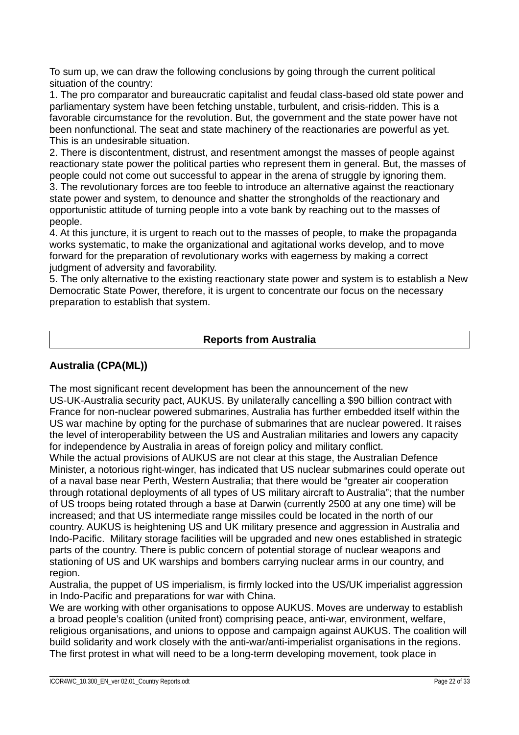To sum up, we can draw the following conclusions by going through the current political situation of the country:

1. The pro comparator and bureaucratic capitalist and feudal class-based old state power and parliamentary system have been fetching unstable, turbulent, and crisis-ridden. This is a favorable circumstance for the revolution. But, the government and the state power have not been nonfunctional. The seat and state machinery of the reactionaries are powerful as yet. This is an undesirable situation.

2. There is discontentment, distrust, and resentment amongst the masses of people against reactionary state power the political parties who represent them in general. But, the masses of people could not come out successful to appear in the arena of struggle by ignoring them.

3. The revolutionary forces are too feeble to introduce an alternative against the reactionary state power and system, to denounce and shatter the strongholds of the reactionary and opportunistic attitude of turning people into a vote bank by reaching out to the masses of people.

4. At this juncture, it is urgent to reach out to the masses of people, to make the propaganda works systematic, to make the organizational and agitational works develop, and to move forward for the preparation of revolutionary works with eagerness by making a correct judgment of adversity and favorability.

5. The only alternative to the existing reactionary state power and system is to establish a New Democratic State Power, therefore, it is urgent to concentrate our focus on the necessary preparation to establish that system.

## **Reports from Australia**

#### **Australia (CPA(ML))**

The most significant recent development has been the announcement of the new US-UK-Australia security pact, AUKUS. By unilaterally cancelling a \$90 billion contract with France for non-nuclear powered submarines, Australia has further embedded itself within the US war machine by opting for the purchase of submarines that are nuclear powered. It raises the level of interoperability between the US and Australian militaries and lowers any capacity for independence by Australia in areas of foreign policy and military conflict.

While the actual provisions of AUKUS are not clear at this stage, the Australian Defence Minister, a notorious right-winger, has indicated that US nuclear submarines could operate out of a naval base near Perth, Western Australia; that there would be "greater air cooperation through rotational deployments of all types of US military aircraft to Australia"; that the number of US troops being rotated through a base at Darwin (currently 2500 at any one time) will be increased; and that US intermediate range missiles could be located in the north of our country. AUKUS is heightening US and UK military presence and aggression in Australia and Indo-Pacific. Military storage facilities will be upgraded and new ones established in strategic parts of the country. There is public concern of potential storage of nuclear weapons and stationing of US and UK warships and bombers carrying nuclear arms in our country, and region.

Australia, the puppet of US imperialism, is firmly locked into the US/UK imperialist aggression in Indo-Pacific and preparations for war with China.

We are working with other organisations to oppose AUKUS. Moves are underway to establish a broad people's coalition (united front) comprising peace, anti-war, environment, welfare, religious organisations, and unions to oppose and campaign against AUKUS. The coalition will build solidarity and work closely with the anti-war/anti-imperialist organisations in the regions. The first protest in what will need to be a long-term developing movement, took place in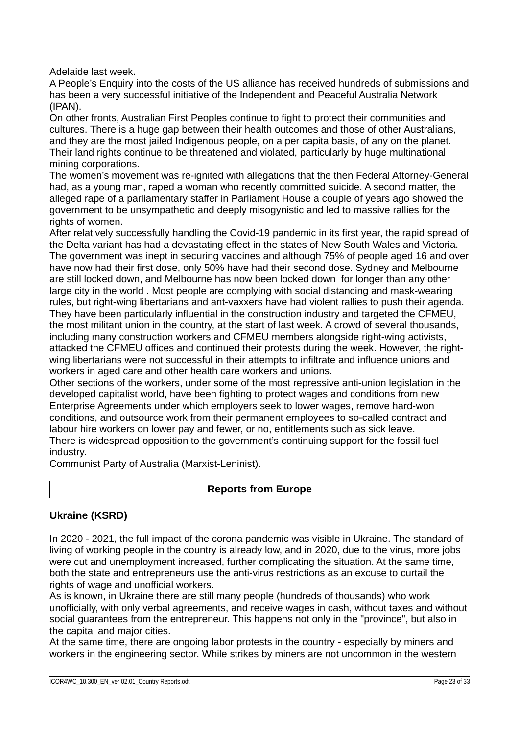Adelaide last week.

A People's Enquiry into the costs of the US alliance has received hundreds of submissions and has been a very successful initiative of the Independent and Peaceful Australia Network (IPAN).

On other fronts, Australian First Peoples continue to fight to protect their communities and cultures. There is a huge gap between their health outcomes and those of other Australians, and they are the most jailed Indigenous people, on a per capita basis, of any on the planet. Their land rights continue to be threatened and violated, particularly by huge multinational mining corporations.

The women's movement was re-ignited with allegations that the then Federal Attorney-General had, as a young man, raped a woman who recently committed suicide. A second matter, the alleged rape of a parliamentary staffer in Parliament House a couple of years ago showed the government to be unsympathetic and deeply misogynistic and led to massive rallies for the rights of women.

After relatively successfully handling the Covid-19 pandemic in its first year, the rapid spread of the Delta variant has had a devastating effect in the states of New South Wales and Victoria. The government was inept in securing vaccines and although 75% of people aged 16 and over have now had their first dose, only 50% have had their second dose. Sydney and Melbourne are still locked down, and Melbourne has now been locked down for longer than any other large city in the world . Most people are complying with social distancing and mask-wearing rules, but right-wing libertarians and ant-vaxxers have had violent rallies to push their agenda. They have been particularly influential in the construction industry and targeted the CFMEU, the most militant union in the country, at the start of last week. A crowd of several thousands, including many construction workers and CFMEU members alongside right-wing activists, attacked the CFMEU offices and continued their protests during the week. However, the rightwing libertarians were not successful in their attempts to infiltrate and influence unions and workers in aged care and other health care workers and unions.

Other sections of the workers, under some of the most repressive anti-union legislation in the developed capitalist world, have been fighting to protect wages and conditions from new Enterprise Agreements under which employers seek to lower wages, remove hard-won conditions, and outsource work from their permanent employees to so-called contract and labour hire workers on lower pay and fewer, or no, entitlements such as sick leave. There is widespread opposition to the government's continuing support for the fossil fuel industry.

Communist Party of Australia (Marxist-Leninist).

## **Reports from Europe**

## **Ukraine (KSRD)**

In 2020 - 2021, the full impact of the corona pandemic was visible in Ukraine. The standard of living of working people in the country is already low, and in 2020, due to the virus, more jobs were cut and unemployment increased, further complicating the situation. At the same time, both the state and entrepreneurs use the anti-virus restrictions as an excuse to curtail the rights of wage and unofficial workers.

As is known, in Ukraine there are still many people (hundreds of thousands) who work unofficially, with only verbal agreements, and receive wages in cash, without taxes and without social guarantees from the entrepreneur. This happens not only in the "province", but also in the capital and major cities.

At the same time, there are ongoing labor protests in the country - especially by miners and workers in the engineering sector. While strikes by miners are not uncommon in the western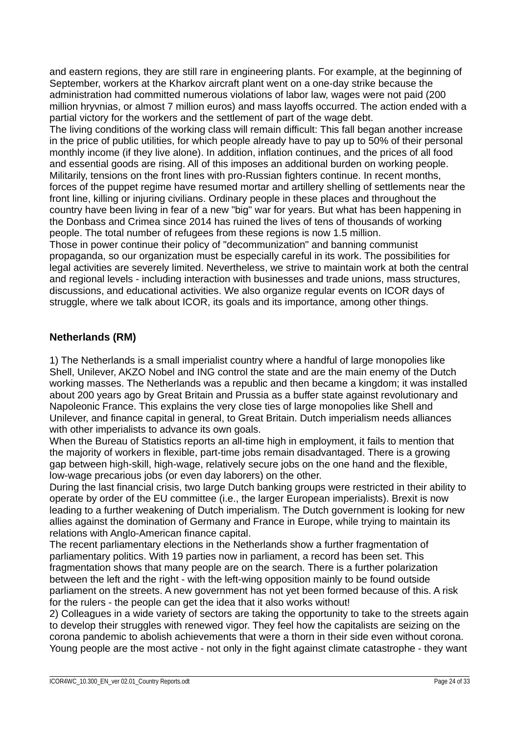and eastern regions, they are still rare in engineering plants. For example, at the beginning of September, workers at the Kharkov aircraft plant went on a one-day strike because the administration had committed numerous violations of labor law, wages were not paid (200 million hryvnias, or almost 7 million euros) and mass layoffs occurred. The action ended with a partial victory for the workers and the settlement of part of the wage debt.

The living conditions of the working class will remain difficult: This fall began another increase in the price of public utilities, for which people already have to pay up to 50% of their personal monthly income (if they live alone). In addition, inflation continues, and the prices of all food and essential goods are rising. All of this imposes an additional burden on working people. Militarily, tensions on the front lines with pro-Russian fighters continue. In recent months, forces of the puppet regime have resumed mortar and artillery shelling of settlements near the front line, killing or injuring civilians. Ordinary people in these places and throughout the country have been living in fear of a new "big" war for years. But what has been happening in the Donbass and Crimea since 2014 has ruined the lives of tens of thousands of working people. The total number of refugees from these regions is now 1.5 million.

Those in power continue their policy of "decommunization" and banning communist propaganda, so our organization must be especially careful in its work. The possibilities for legal activities are severely limited. Nevertheless, we strive to maintain work at both the central and regional levels - including interaction with businesses and trade unions, mass structures, discussions, and educational activities. We also organize regular events on ICOR days of struggle, where we talk about ICOR, its goals and its importance, among other things.

## **Netherlands (RM)**

1) The Netherlands is a small imperialist country where a handful of large monopolies like Shell, Unilever, AKZO Nobel and ING control the state and are the main enemy of the Dutch working masses. The Netherlands was a republic and then became a kingdom; it was installed about 200 years ago by Great Britain and Prussia as a buffer state against revolutionary and Napoleonic France. This explains the very close ties of large monopolies like Shell and Unilever, and finance capital in general, to Great Britain. Dutch imperialism needs alliances with other imperialists to advance its own goals.

When the Bureau of Statistics reports an all-time high in employment, it fails to mention that the majority of workers in flexible, part-time jobs remain disadvantaged. There is a growing gap between high-skill, high-wage, relatively secure jobs on the one hand and the flexible, low-wage precarious jobs (or even day laborers) on the other.

During the last financial crisis, two large Dutch banking groups were restricted in their ability to operate by order of the EU committee (i.e., the larger European imperialists). Brexit is now leading to a further weakening of Dutch imperialism. The Dutch government is looking for new allies against the domination of Germany and France in Europe, while trying to maintain its relations with Anglo-American finance capital.

The recent parliamentary elections in the Netherlands show a further fragmentation of parliamentary politics. With 19 parties now in parliament, a record has been set. This fragmentation shows that many people are on the search. There is a further polarization between the left and the right - with the left-wing opposition mainly to be found outside parliament on the streets. A new government has not yet been formed because of this. A risk for the rulers - the people can get the idea that it also works without!

2) Colleagues in a wide variety of sectors are taking the opportunity to take to the streets again to develop their struggles with renewed vigor. They feel how the capitalists are seizing on the corona pandemic to abolish achievements that were a thorn in their side even without corona. Young people are the most active - not only in the fight against climate catastrophe - they want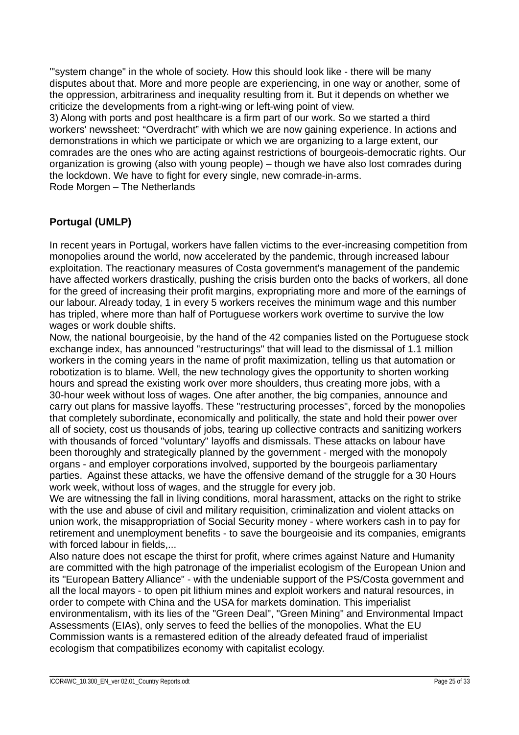'"system change" in the whole of society. How this should look like - there will be many disputes about that. More and more people are experiencing, in one way or another, some of the oppression, arbitrariness and inequality resulting from it. But it depends on whether we criticize the developments from a right-wing or left-wing point of view.

3) Along with ports and post healthcare is a firm part of our work. So we started a third workers' newssheet: "Overdracht" with which we are now gaining experience. In actions and demonstrations in which we participate or which we are organizing to a large extent, our comrades are the ones who are acting against restrictions of bourgeois-democratic rights. Our organization is growing (also with young people) – though we have also lost comrades during the lockdown. We have to fight for every single, new comrade-in-arms. Rode Morgen – The Netherlands

## **Portugal (UMLP)**

In recent years in Portugal, workers have fallen victims to the ever-increasing competition from monopolies around the world, now accelerated by the pandemic, through increased labour exploitation. The reactionary measures of Costa government's management of the pandemic have affected workers drastically, pushing the crisis burden onto the backs of workers, all done for the greed of increasing their profit margins, expropriating more and more of the earnings of our labour. Already today, 1 in every 5 workers receives the minimum wage and this number has tripled, where more than half of Portuguese workers work overtime to survive the low wages or work double shifts.

Now, the national bourgeoisie, by the hand of the 42 companies listed on the Portuguese stock exchange index, has announced "restructurings" that will lead to the dismissal of 1.1 million workers in the coming years in the name of profit maximization, telling us that automation or robotization is to blame. Well, the new technology gives the opportunity to shorten working hours and spread the existing work over more shoulders, thus creating more jobs, with a 30-hour week without loss of wages. One after another, the big companies, announce and carry out plans for massive layoffs. These "restructuring processes", forced by the monopolies that completely subordinate, economically and politically, the state and hold their power over all of society, cost us thousands of jobs, tearing up collective contracts and sanitizing workers with thousands of forced "voluntary" layoffs and dismissals. These attacks on labour have been thoroughly and strategically planned by the government - merged with the monopoly organs - and employer corporations involved, supported by the bourgeois parliamentary parties. Against these attacks, we have the offensive demand of the struggle for a 30 Hours work week, without loss of wages, and the struggle for every job.

We are witnessing the fall in living conditions, moral harassment, attacks on the right to strike with the use and abuse of civil and military requisition, criminalization and violent attacks on union work, the misappropriation of Social Security money - where workers cash in to pay for retirement and unemployment benefits - to save the bourgeoisie and its companies, emigrants with forced labour in fields....

Also nature does not escape the thirst for profit, where crimes against Nature and Humanity are committed with the high patronage of the imperialist ecologism of the European Union and its "European Battery Alliance" - with the undeniable support of the PS/Costa government and all the local mayors - to open pit lithium mines and exploit workers and natural resources, in order to compete with China and the USA for markets domination. This imperialist environmentalism, with its lies of the "Green Deal", "Green Mining" and Environmental Impact Assessments (EIAs), only serves to feed the bellies of the monopolies. What the EU Commission wants is a remastered edition of the already defeated fraud of imperialist ecologism that compatibilizes economy with capitalist ecology.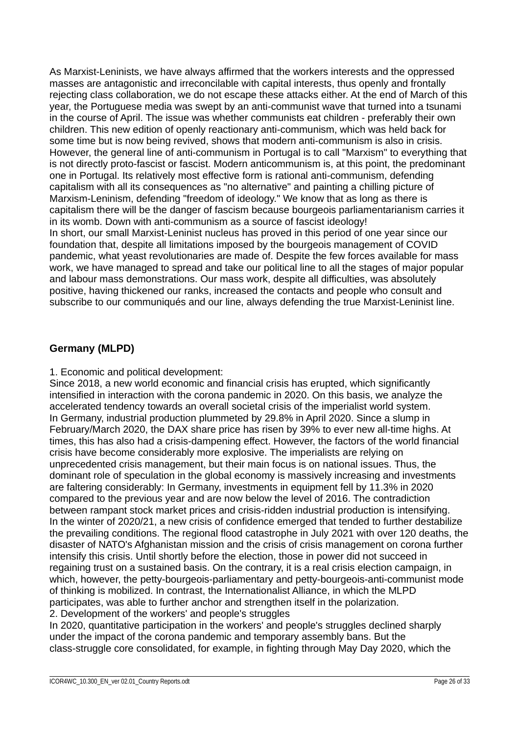As Marxist-Leninists, we have always affirmed that the workers interests and the oppressed masses are antagonistic and irreconcilable with capital interests, thus openly and frontally rejecting class collaboration, we do not escape these attacks either. At the end of March of this year, the Portuguese media was swept by an anti-communist wave that turned into a tsunami in the course of April. The issue was whether communists eat children - preferably their own children. This new edition of openly reactionary anti-communism, which was held back for some time but is now being revived, shows that modern anti-communism is also in crisis. However, the general line of anti-communism in Portugal is to call "Marxism" to everything that is not directly proto-fascist or fascist. Modern anticommunism is, at this point, the predominant one in Portugal. Its relatively most effective form is rational anti-communism, defending capitalism with all its consequences as "no alternative" and painting a chilling picture of Marxism-Leninism, defending "freedom of ideology." We know that as long as there is capitalism there will be the danger of fascism because bourgeois parliamentarianism carries it in its womb. Down with anti-communism as a source of fascist ideology! In short, our small Marxist-Leninist nucleus has proved in this period of one year since our foundation that, despite all limitations imposed by the bourgeois management of COVID pandemic, what yeast revolutionaries are made of. Despite the few forces available for mass work, we have managed to spread and take our political line to all the stages of major popular and labour mass demonstrations. Our mass work, despite all difficulties, was absolutely positive, having thickened our ranks, increased the contacts and people who consult and subscribe to our communiqués and our line, always defending the true Marxist-Leninist line.

## **Germany (MLPD)**

1. Economic and political development:

Since 2018, a new world economic and financial crisis has erupted, which significantly intensified in interaction with the corona pandemic in 2020. On this basis, we analyze the accelerated tendency towards an overall societal crisis of the imperialist world system. In Germany, industrial production plummeted by 29.8% in April 2020. Since a slump in February/March 2020, the DAX share price has risen by 39% to ever new all-time highs. At times, this has also had a crisis-dampening effect. However, the factors of the world financial crisis have become considerably more explosive. The imperialists are relying on unprecedented crisis management, but their main focus is on national issues. Thus, the dominant role of speculation in the global economy is massively increasing and investments are faltering considerably: In Germany, investments in equipment fell by 11.3% in 2020 compared to the previous year and are now below the level of 2016. The contradiction between rampant stock market prices and crisis-ridden industrial production is intensifying. In the winter of 2020/21, a new crisis of confidence emerged that tended to further destabilize the prevailing conditions. The regional flood catastrophe in July 2021 with over 120 deaths, the disaster of NATO's Afghanistan mission and the crisis of crisis management on corona further intensify this crisis. Until shortly before the election, those in power did not succeed in regaining trust on a sustained basis. On the contrary, it is a real crisis election campaign, in which, however, the petty-bourgeois-parliamentary and petty-bourgeois-anti-communist mode of thinking is mobilized. In contrast, the Internationalist Alliance, in which the MLPD participates, was able to further anchor and strengthen itself in the polarization. 2. Development of the workers' and people's struggles

In 2020, quantitative participation in the workers' and people's struggles declined sharply under the impact of the corona pandemic and temporary assembly bans. But the class-struggle core consolidated, for example, in fighting through May Day 2020, which the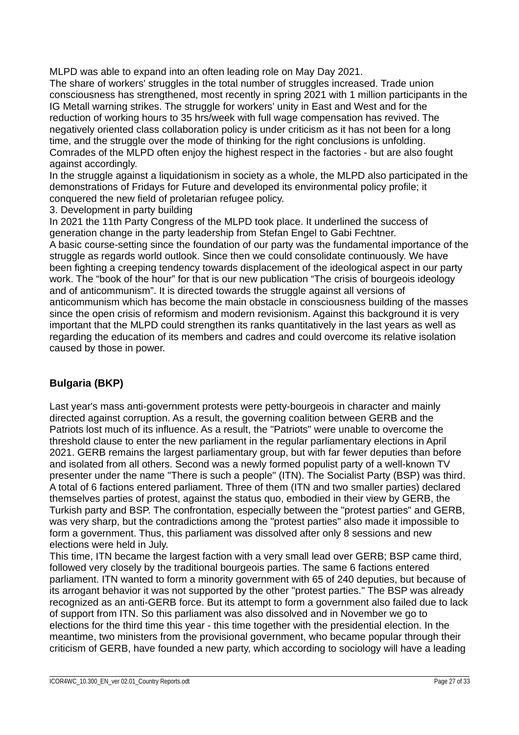MLPD was able to expand into an often leading role on May Day 2021.

The share of workers' struggles in the total number of struggles increased. Trade union consciousness has strengthened, most recently in spring 2021 with 1 million participants in the IG Metall warning strikes. The struggle for workers' unity in East and West and for the reduction of working hours to 35 hrs/week with full wage compensation has revived. The negatively oriented class collaboration policy is under criticism as it has not been for a long time, and the struggle over the mode of thinking for the right conclusions is unfolding. Comrades of the MLPD often enjoy the highest respect in the factories - but are also fought against accordingly.

In the struggle against a liquidationism in society as a whole, the MLPD also participated in the demonstrations of Fridays for Future and developed its environmental policy profile; it conquered the new field of proletarian refugee policy.

3. Development in party building

In 2021 the 11th Party Congress of the MLPD took place. It underlined the success of generation change in the party leadership from Stefan Engel to Gabi Fechtner. A basic course-setting since the foundation of our party was the fundamental importance of the struggle as regards world outlook. Since then we could consolidate continuously. We have been fighting a creeping tendency towards displacement of the ideological aspect in our party work. The "book of the hour" for that is our new publication "The crisis of bourgeois ideology and of anticommunism". It is directed towards the struggle against all versions of anticommunism which has become the main obstacle in consciousness building of the masses since the open crisis of reformism and modern revisionism. Against this background it is very important that the MLPD could strengthen its ranks quantitatively in the last years as well as regarding the education of its members and cadres and could overcome its relative isolation caused by those in power.

## **Bulgaria (BKP)**

Last year's mass anti-government protests were petty-bourgeois in character and mainly directed against corruption. As a result, the governing coalition between GERB and the Patriots lost much of its influence. As a result, the "Patriots" were unable to overcome the threshold clause to enter the new parliament in the regular parliamentary elections in April 2021. GERB remains the largest parliamentary group, but with far fewer deputies than before and isolated from all others. Second was a newly formed populist party of a well-known TV presenter under the name "There is such a people" (ITN). The Socialist Party (BSP) was third. A total of 6 factions entered parliament. Three of them (ITN and two smaller parties) declared themselves parties of protest, against the status quo, embodied in their view by GERB, the Turkish party and BSP. The confrontation, especially between the "protest parties" and GERB, was very sharp, but the contradictions among the "protest parties" also made it impossible to form a government. Thus, this parliament was dissolved after only 8 sessions and new elections were held in July.

This time, ITN became the largest faction with a very small lead over GERB; BSP came third, followed very closely by the traditional bourgeois parties. The same 6 factions entered parliament. ITN wanted to form a minority government with 65 of 240 deputies, but because of its arrogant behavior it was not supported by the other "protest parties." The BSP was already recognized as an anti-GERB force. But its attempt to form a government also failed due to lack of support from ITN. So this parliament was also dissolved and in November we go to elections for the third time this year - this time together with the presidential election. In the meantime, two ministers from the provisional government, who became popular through their criticism of GERB, have founded a new party, which according to sociology will have a leading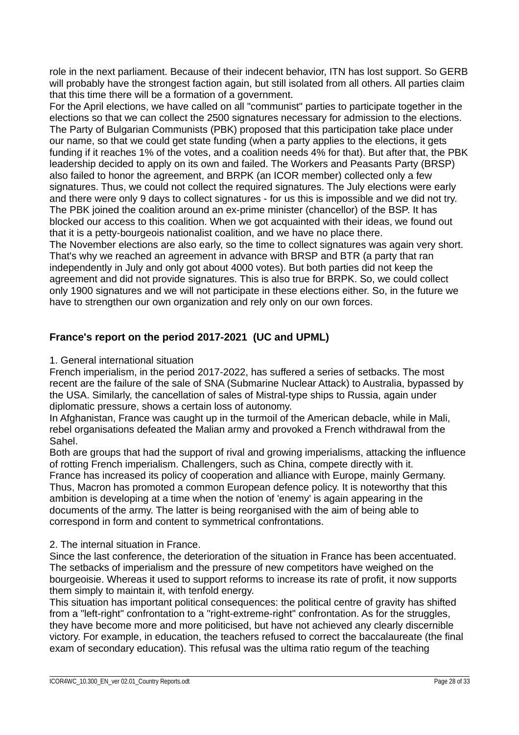role in the next parliament. Because of their indecent behavior, ITN has lost support. So GERB will probably have the strongest faction again, but still isolated from all others. All parties claim that this time there will be a formation of a government.

For the April elections, we have called on all "communist" parties to participate together in the elections so that we can collect the 2500 signatures necessary for admission to the elections. The Party of Bulgarian Communists (PBK) proposed that this participation take place under our name, so that we could get state funding (when a party applies to the elections, it gets funding if it reaches 1% of the votes, and a coalition needs 4% for that). But after that, the PBK leadership decided to apply on its own and failed. The Workers and Peasants Party (BRSP) also failed to honor the agreement, and BRPK (an ICOR member) collected only a few signatures. Thus, we could not collect the required signatures. The July elections were early and there were only 9 days to collect signatures - for us this is impossible and we did not try. The PBK joined the coalition around an ex-prime minister (chancellor) of the BSP. It has blocked our access to this coalition. When we got acquainted with their ideas, we found out that it is a petty-bourgeois nationalist coalition, and we have no place there.

The November elections are also early, so the time to collect signatures was again very short. That's why we reached an agreement in advance with BRSP and BTR (a party that ran independently in July and only got about 4000 votes). But both parties did not keep the agreement and did not provide signatures. This is also true for BRPK. So, we could collect only 1900 signatures and we will not participate in these elections either. So, in the future we have to strengthen our own organization and rely only on our own forces.

## **France's report on the period 2017-2021 (UC and UPML)**

#### 1. General international situation

French imperialism, in the period 2017-2022, has suffered a series of setbacks. The most recent are the failure of the sale of SNA (Submarine Nuclear Attack) to Australia, bypassed by the USA. Similarly, the cancellation of sales of Mistral-type ships to Russia, again under diplomatic pressure, shows a certain loss of autonomy.

In Afghanistan, France was caught up in the turmoil of the American debacle, while in Mali, rebel organisations defeated the Malian army and provoked a French withdrawal from the Sahel.

Both are groups that had the support of rival and growing imperialisms, attacking the influence of rotting French imperialism. Challengers, such as China, compete directly with it. France has increased its policy of cooperation and alliance with Europe, mainly Germany. Thus, Macron has promoted a common European defence policy. It is noteworthy that this ambition is developing at a time when the notion of 'enemy' is again appearing in the documents of the army. The latter is being reorganised with the aim of being able to correspond in form and content to symmetrical confrontations.

## 2. The internal situation in France.

Since the last conference, the deterioration of the situation in France has been accentuated. The setbacks of imperialism and the pressure of new competitors have weighed on the bourgeoisie. Whereas it used to support reforms to increase its rate of profit, it now supports them simply to maintain it, with tenfold energy.

This situation has important political consequences: the political centre of gravity has shifted from a "left-right" confrontation to a "right-extreme-right" confrontation. As for the struggles, they have become more and more politicised, but have not achieved any clearly discernible victory. For example, in education, the teachers refused to correct the baccalaureate (the final exam of secondary education). This refusal was the ultima ratio regum of the teaching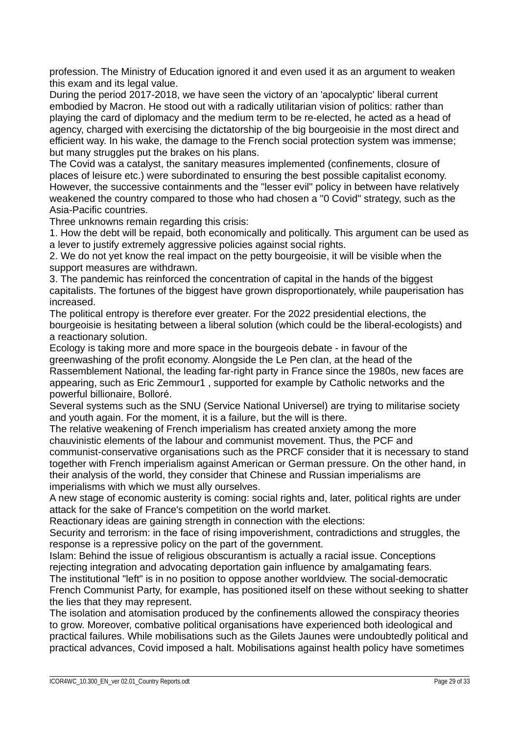profession. The Ministry of Education ignored it and even used it as an argument to weaken this exam and its legal value.

During the period 2017-2018, we have seen the victory of an 'apocalyptic' liberal current embodied by Macron. He stood out with a radically utilitarian vision of politics: rather than playing the card of diplomacy and the medium term to be re-elected, he acted as a head of agency, charged with exercising the dictatorship of the big bourgeoisie in the most direct and efficient way. In his wake, the damage to the French social protection system was immense; but many struggles put the brakes on his plans.

The Covid was a catalyst, the sanitary measures implemented (confinements, closure of places of leisure etc.) were subordinated to ensuring the best possible capitalist economy. However, the successive containments and the "lesser evil" policy in between have relatively weakened the country compared to those who had chosen a "0 Covid" strategy, such as the Asia-Pacific countries.

Three unknowns remain regarding this crisis:

1. How the debt will be repaid, both economically and politically. This argument can be used as a lever to justify extremely aggressive policies against social rights.

2. We do not yet know the real impact on the petty bourgeoisie, it will be visible when the support measures are withdrawn.

3. The pandemic has reinforced the concentration of capital in the hands of the biggest capitalists. The fortunes of the biggest have grown disproportionately, while pauperisation has increased.

The political entropy is therefore ever greater. For the 2022 presidential elections, the bourgeoisie is hesitating between a liberal solution (which could be the liberal-ecologists) and a reactionary solution.

Ecology is taking more and more space in the bourgeois debate - in favour of the greenwashing of the profit economy. Alongside the Le Pen clan, at the head of the Rassemblement National, the leading far-right party in France since the 1980s, new faces are appearing, such as Eric Zemmour1 , supported for example by Catholic networks and the powerful billionaire, Bolloré.

Several systems such as the SNU (Service National Universel) are trying to militarise society and youth again. For the moment, it is a failure, but the will is there.

The relative weakening of French imperialism has created anxiety among the more chauvinistic elements of the labour and communist movement. Thus, the PCF and communist-conservative organisations such as the PRCF consider that it is necessary to stand together with French imperialism against American or German pressure. On the other hand, in their analysis of the world, they consider that Chinese and Russian imperialisms are imperialisms with which we must ally ourselves.

A new stage of economic austerity is coming: social rights and, later, political rights are under attack for the sake of France's competition on the world market.

Reactionary ideas are gaining strength in connection with the elections:

Security and terrorism: in the face of rising impoverishment, contradictions and struggles, the response is a repressive policy on the part of the government.

Islam: Behind the issue of religious obscurantism is actually a racial issue. Conceptions rejecting integration and advocating deportation gain influence by amalgamating fears.

The institutional "left" is in no position to oppose another worldview. The social-democratic French Communist Party, for example, has positioned itself on these without seeking to shatter the lies that they may represent.

The isolation and atomisation produced by the confinements allowed the conspiracy theories to grow. Moreover, combative political organisations have experienced both ideological and practical failures. While mobilisations such as the Gilets Jaunes were undoubtedly political and practical advances, Covid imposed a halt. Mobilisations against health policy have sometimes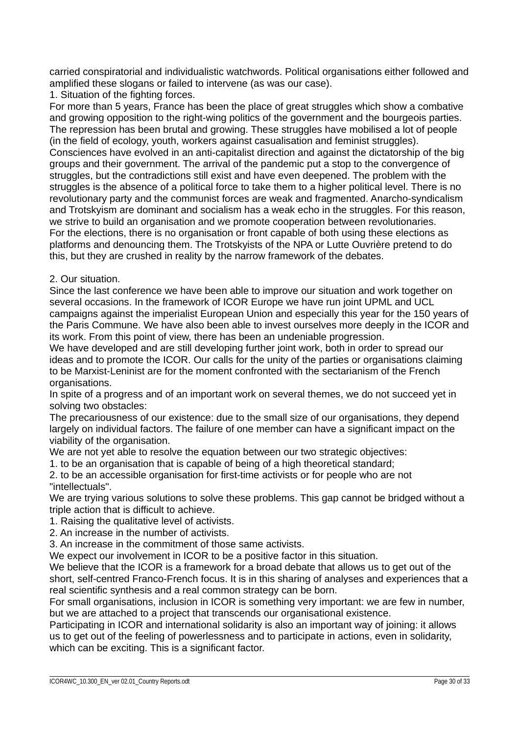carried conspiratorial and individualistic watchwords. Political organisations either followed and amplified these slogans or failed to intervene (as was our case).

1. Situation of the fighting forces.

For more than 5 years, France has been the place of great struggles which show a combative and growing opposition to the right-wing politics of the government and the bourgeois parties. The repression has been brutal and growing. These struggles have mobilised a lot of people (in the field of ecology, youth, workers against casualisation and feminist struggles). Consciences have evolved in an anti-capitalist direction and against the dictatorship of the big groups and their government. The arrival of the pandemic put a stop to the convergence of struggles, but the contradictions still exist and have even deepened. The problem with the struggles is the absence of a political force to take them to a higher political level. There is no revolutionary party and the communist forces are weak and fragmented. Anarcho-syndicalism and Trotskyism are dominant and socialism has a weak echo in the struggles. For this reason, we strive to build an organisation and we promote cooperation between revolutionaries. For the elections, there is no organisation or front capable of both using these elections as platforms and denouncing them. The Trotskyists of the NPA or Lutte Ouvrière pretend to do this, but they are crushed in reality by the narrow framework of the debates.

#### 2. Our situation.

Since the last conference we have been able to improve our situation and work together on several occasions. In the framework of ICOR Europe we have run joint UPML and UCL campaigns against the imperialist European Union and especially this year for the 150 years of the Paris Commune. We have also been able to invest ourselves more deeply in the ICOR and its work. From this point of view, there has been an undeniable progression.

We have developed and are still developing further joint work, both in order to spread our ideas and to promote the ICOR. Our calls for the unity of the parties or organisations claiming to be Marxist-Leninist are for the moment confronted with the sectarianism of the French organisations.

In spite of a progress and of an important work on several themes, we do not succeed yet in solving two obstacles:

The precariousness of our existence: due to the small size of our organisations, they depend largely on individual factors. The failure of one member can have a significant impact on the viability of the organisation.

We are not yet able to resolve the equation between our two strategic objectives:

1. to be an organisation that is capable of being of a high theoretical standard;

2. to be an accessible organisation for first-time activists or for people who are not "intellectuals".

We are trying various solutions to solve these problems. This gap cannot be bridged without a triple action that is difficult to achieve.

1. Raising the qualitative level of activists.

2. An increase in the number of activists.

3. An increase in the commitment of those same activists.

We expect our involvement in ICOR to be a positive factor in this situation.

We believe that the ICOR is a framework for a broad debate that allows us to get out of the short, self-centred Franco-French focus. It is in this sharing of analyses and experiences that a real scientific synthesis and a real common strategy can be born.

For small organisations, inclusion in ICOR is something very important: we are few in number, but we are attached to a project that transcends our organisational existence.

Participating in ICOR and international solidarity is also an important way of joining: it allows us to get out of the feeling of powerlessness and to participate in actions, even in solidarity, which can be exciting. This is a significant factor.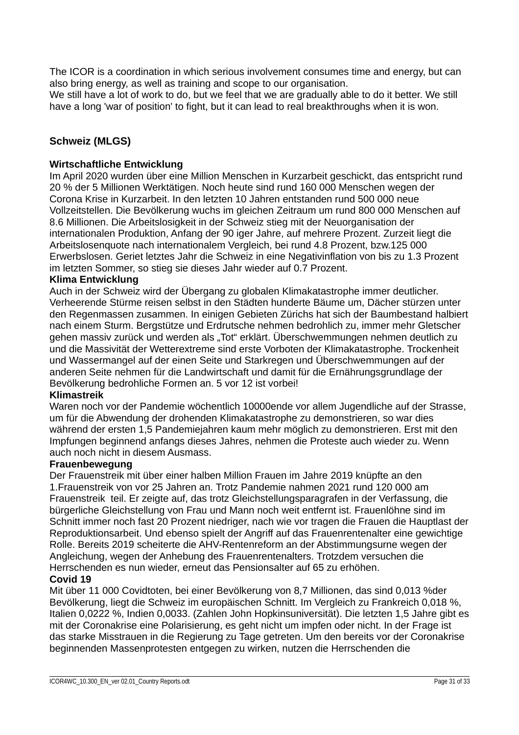The ICOR is a coordination in which serious involvement consumes time and energy, but can also bring energy, as well as training and scope to our organisation.

We still have a lot of work to do, but we feel that we are gradually able to do it better. We still have a long 'war of position' to fight, but it can lead to real breakthroughs when it is won.

## **Schweiz (MLGS)**

#### **Wirtschaftliche Entwicklung**

Im April 2020 wurden über eine Million Menschen in Kurzarbeit geschickt, das entspricht rund 20 % der 5 Millionen Werktätigen. Noch heute sind rund 160 000 Menschen wegen der Corona Krise in Kurzarbeit. In den letzten 10 Jahren entstanden rund 500 000 neue Vollzeitstellen. Die Bevölkerung wuchs im gleichen Zeitraum um rund 800 000 Menschen auf 8.6 Millionen. Die Arbeitslosigkeit in der Schweiz stieg mit der Neuorganisation der internationalen Produktion, Anfang der 90 iger Jahre, auf mehrere Prozent. Zurzeit liegt die Arbeitslosenquote nach internationalem Vergleich, bei rund 4.8 Prozent, bzw.125 000 Erwerbslosen. Geriet letztes Jahr die Schweiz in eine Negativinflation von bis zu 1.3 Prozent im letzten Sommer, so stieg sie dieses Jahr wieder auf 0.7 Prozent.

#### **Klima Entwicklung**

Auch in der Schweiz wird der Übergang zu globalen Klimakatastrophe immer deutlicher. Verheerende Stürme reisen selbst in den Städten hunderte Bäume um, Dächer stürzen unter den Regenmassen zusammen. In einigen Gebieten Zürichs hat sich der Baumbestand halbiert nach einem Sturm. Bergstütze und Erdrutsche nehmen bedrohlich zu, immer mehr Gletscher gehen massiv zurück und werden als "Tot" erklärt. Überschwemmungen nehmen deutlich zu und die Massivität der Wetterextreme sind erste Vorboten der Klimakatastrophe. Trockenheit und Wassermangel auf der einen Seite und Starkregen und Überschwemmungen auf der anderen Seite nehmen für die Landwirtschaft und damit für die Ernährungsgrundlage der Bevölkerung bedrohliche Formen an. 5 vor 12 ist vorbei!

#### **Klimastreik**

Waren noch vor der Pandemie wöchentlich 10000ende vor allem Jugendliche auf der Strasse, um für die Abwendung der drohenden Klimakatastrophe zu demonstrieren, so war dies während der ersten 1,5 Pandemiejahren kaum mehr möglich zu demonstrieren. Erst mit den Impfungen beginnend anfangs dieses Jahres, nehmen die Proteste auch wieder zu. Wenn auch noch nicht in diesem Ausmass.

#### **Frauenbewegung**

Der Frauenstreik mit über einer halben Million Frauen im Jahre 2019 knüpfte an den 1.Frauenstreik von vor 25 Jahren an. Trotz Pandemie nahmen 2021 rund 120 000 am Frauenstreik teil. Er zeigte auf, das trotz Gleichstellungsparagrafen in der Verfassung, die bürgerliche Gleichstellung von Frau und Mann noch weit entfernt ist. Frauenlöhne sind im Schnitt immer noch fast 20 Prozent niedriger, nach wie vor tragen die Frauen die Hauptlast der Reproduktionsarbeit. Und ebenso spielt der Angriff auf das Frauenrentenalter eine gewichtige Rolle. Bereits 2019 scheiterte die AHV-Rentenreform an der Abstimmungsurne wegen der Angleichung, wegen der Anhebung des Frauenrentenalters. Trotzdem versuchen die Herrschenden es nun wieder, erneut das Pensionsalter auf 65 zu erhöhen.

#### **Covid 19**

Mit über 11 000 Covidtoten, bei einer Bevölkerung von 8,7 Millionen, das sind 0,013 %der Bevölkerung, liegt die Schweiz im europäischen Schnitt. Im Vergleich zu Frankreich 0,018 %, Italien 0,0222 %, Indien 0,0033. (Zahlen John Hopkinsuniversität). Die letzten 1,5 Jahre gibt es mit der Coronakrise eine Polarisierung, es geht nicht um impfen oder nicht. In der Frage ist das starke Misstrauen in die Regierung zu Tage getreten. Um den bereits vor der Coronakrise beginnenden Massenprotesten entgegen zu wirken, nutzen die Herrschenden die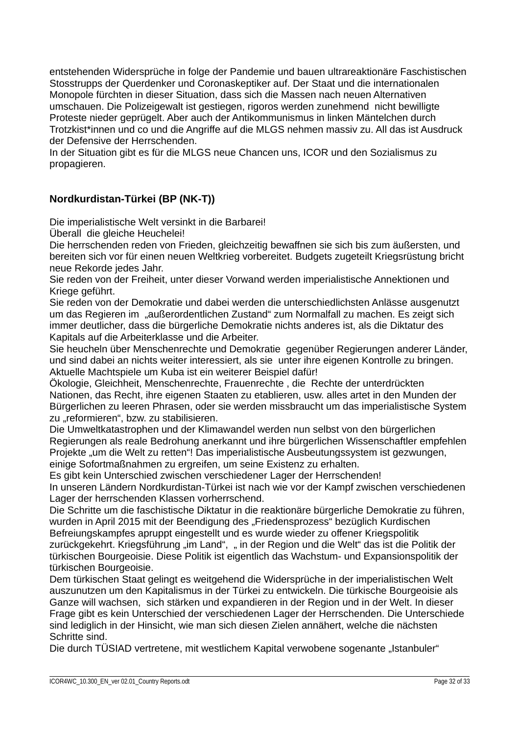entstehenden Widersprüche in folge der Pandemie und bauen ultrareaktionäre Faschistischen Stosstrupps der Querdenker und Coronaskeptiker auf. Der Staat und die internationalen Monopole fürchten in dieser Situation, dass sich die Massen nach neuen Alternativen umschauen. Die Polizeigewalt ist gestiegen, rigoros werden zunehmend nicht bewilligte Proteste nieder geprügelt. Aber auch der Antikommunismus in linken Mäntelchen durch Trotzkist\*innen und co und die Angriffe auf die MLGS nehmen massiv zu. All das ist Ausdruck der Defensive der Herrschenden.

In der Situation gibt es für die MLGS neue Chancen uns, ICOR und den Sozialismus zu propagieren.

## **Nordkurdistan-Türkei (BP (NK-T))**

Die imperialistische Welt versinkt in die Barbarei!

Überall die gleiche Heuchelei!

Die herrschenden reden von Frieden, gleichzeitig bewaffnen sie sich bis zum äußersten, und bereiten sich vor für einen neuen Weltkrieg vorbereitet. Budgets zugeteilt Kriegsrüstung bricht neue Rekorde jedes Jahr.

Sie reden von der Freiheit, unter dieser Vorwand werden imperialistische Annektionen und Kriege geführt.

Sie reden von der Demokratie und dabei werden die unterschiedlichsten Anlässe ausgenutzt um das Regieren im "außerordentlichen Zustand" zum Normalfall zu machen. Es zeigt sich immer deutlicher, dass die bürgerliche Demokratie nichts anderes ist, als die Diktatur des Kapitals auf die Arbeiterklasse und die Arbeiter.

Sie heucheln über Menschenrechte und Demokratie gegenüber Regierungen anderer Länder, und sind dabei an nichts weiter interessiert, als sie unter ihre eigenen Kontrolle zu bringen. Aktuelle Machtspiele um Kuba ist ein weiterer Beispiel dafür!

Ökologie, Gleichheit, Menschenrechte, Frauenrechte , die Rechte der unterdrückten Nationen, das Recht, ihre eigenen Staaten zu etablieren, usw. alles artet in den Munden der Bürgerlichen zu leeren Phrasen, oder sie werden missbraucht um das imperialistische System zu "reformieren", bzw. zu stabilisieren.

Die Umweltkatastrophen und der Klimawandel werden nun selbst von den bürgerlichen Regierungen als reale Bedrohung anerkannt und ihre bürgerlichen Wissenschaftler empfehlen Projekte "um die Welt zu retten"! Das imperialistische Ausbeutungssystem ist gezwungen, einige Sofortmaßnahmen zu ergreifen, um seine Existenz zu erhalten.

Es gibt kein Unterschied zwischen verschiedener Lager der Herrschenden! In unseren Ländern Nordkurdistan-Türkei ist nach wie vor der Kampf zwischen verschiedenen Lager der herrschenden Klassen vorherrschend.

Die Schritte um die faschistische Diktatur in die reaktionäre bürgerliche Demokratie zu führen, wurden in April 2015 mit der Beendigung des "Friedensprozess" bezüglich Kurdischen Befreiungskampfes apruppt eingestellt und es wurde wieder zu offener Kriegspolitik zurückgekehrt. Kriegsführung "im Land", " in der Region und die Welt" das ist die Politik der türkischen Bourgeoisie. Diese Politik ist eigentlich das Wachstum- und Expansionspolitik der türkischen Bourgeoisie.

Dem türkischen Staat gelingt es weitgehend die Widersprüche in der imperialistischen Welt auszunutzen um den Kapitalismus in der Türkei zu entwickeln. Die türkische Bourgeoisie als Ganze will wachsen, sich stärken und expandieren in der Region und in der Welt. In dieser Frage gibt es kein Unterschied der verschiedenen Lager der Herrschenden. Die Unterschiede sind lediglich in der Hinsicht, wie man sich diesen Zielen annähert, welche die nächsten Schritte sind.

Die durch TÜSIAD vertretene, mit westlichem Kapital verwobene sogenante "Istanbuler"